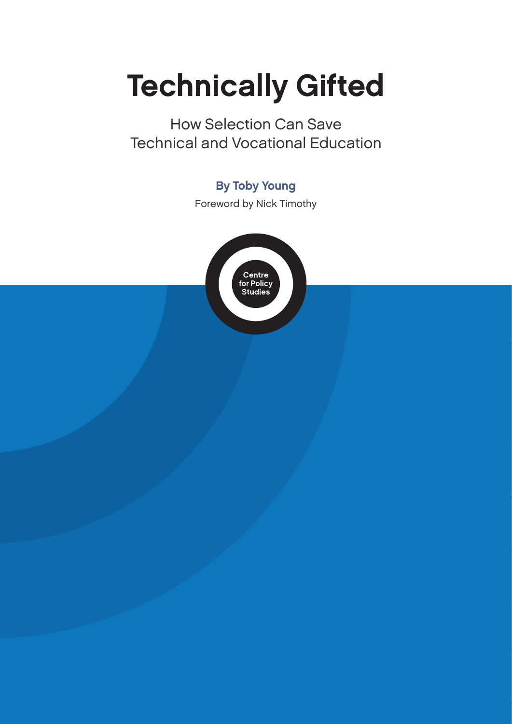# Technically Gifted

How Selection Can Save Technical and Vocational Education

### By Toby Young

Foreword by Nick Timothy

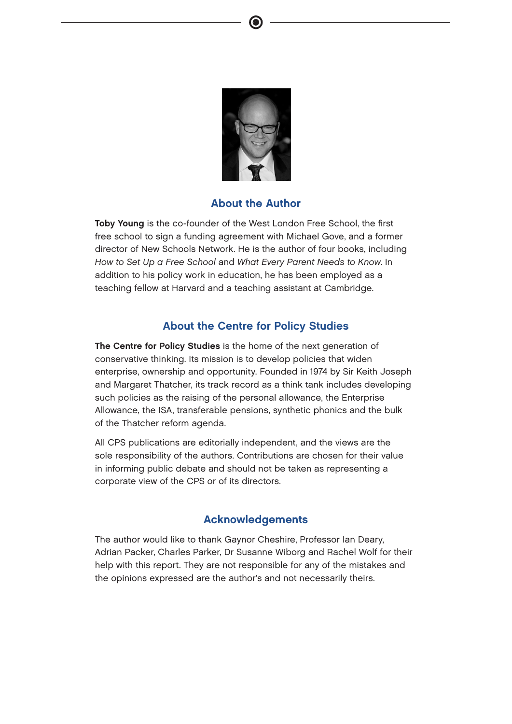

### About the Author

Toby Young is the co-founder of the West London Free School, the first free school to sign a funding agreement with Michael Gove, and a former director of New Schools Network. He is the author of four books, including How to Set Up a Free School and What Every Parent Needs to Know. In addition to his policy work in education, he has been employed as a teaching fellow at Harvard and a teaching assistant at Cambridge.

### About the Centre for Policy Studies

The Centre for Policy Studies is the home of the next generation of conservative thinking. Its mission is to develop policies that widen enterprise, ownership and opportunity. Founded in 1974 by Sir Keith Joseph and Margaret Thatcher, its track record as a think tank includes developing such policies as the raising of the personal allowance, the Enterprise Allowance, the ISA, transferable pensions, synthetic phonics and the bulk of the Thatcher reform agenda.

All CPS publications are editorially independent, and the views are the sole responsibility of the authors. Contributions are chosen for their value in informing public debate and should not be taken as representing a corporate view of the CPS or of its directors.

### Acknowledgements

The author would like to thank Gaynor Cheshire, Professor Ian Deary, Adrian Packer, Charles Parker, Dr Susanne Wiborg and Rachel Wolf for their help with this report. They are not responsible for any of the mistakes and the opinions expressed are the author's and not necessarily theirs.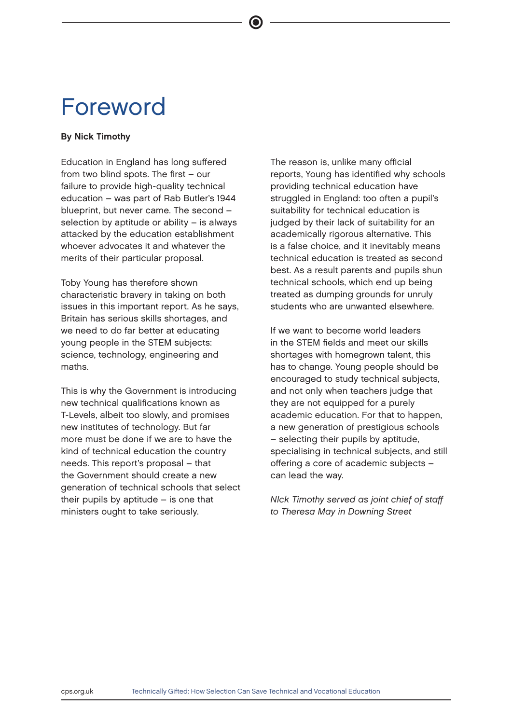## Foreword

### By Nick Timothy

Education in England has long suffered from two blind spots. The first – our failure to provide high-quality technical education – was part of Rab Butler's 1944 blueprint, but never came. The second – selection by aptitude or ability – is always attacked by the education establishment whoever advocates it and whatever the merits of their particular proposal.

Toby Young has therefore shown characteristic bravery in taking on both issues in this important report. As he says, Britain has serious skills shortages, and we need to do far better at educating young people in the STEM subjects: science, technology, engineering and maths.

This is why the Government is introducing new technical qualifications known as T-Levels, albeit too slowly, and promises new institutes of technology. But far more must be done if we are to have the kind of technical education the country needs. This report's proposal – that the Government should create a new generation of technical schools that select their pupils by aptitude – is one that ministers ought to take seriously.

The reason is, unlike many official reports, Young has identified why schools providing technical education have struggled in England: too often a pupil's suitability for technical education is judged by their lack of suitability for an academically rigorous alternative. This is a false choice, and it inevitably means technical education is treated as second best. As a result parents and pupils shun technical schools, which end up being treated as dumping grounds for unruly students who are unwanted elsewhere.

If we want to become world leaders in the STEM fields and meet our skills shortages with homegrown talent, this has to change. Young people should be encouraged to study technical subjects, and not only when teachers judge that they are not equipped for a purely academic education. For that to happen, a new generation of prestigious schools – selecting their pupils by aptitude, specialising in technical subjects, and still offering a core of academic subjects – can lead the way.

NIck Timothy served as joint chief of staff to Theresa May in Downing Street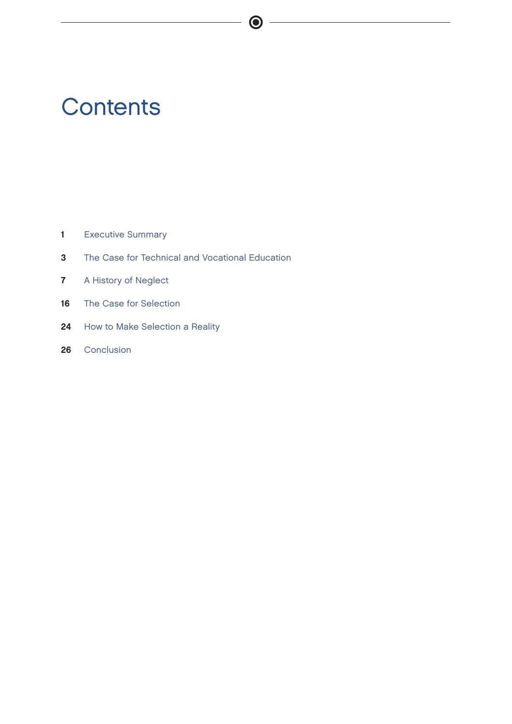## **Contents**

- 1 Executive Summary
- 3 The Case for Technical and Vocational Education

 $\bigcirc$ 

- **7** A History of Neglect
- 16 The Case for Selection
- 24 How to Make Selection a Reality
- 26 Conclusion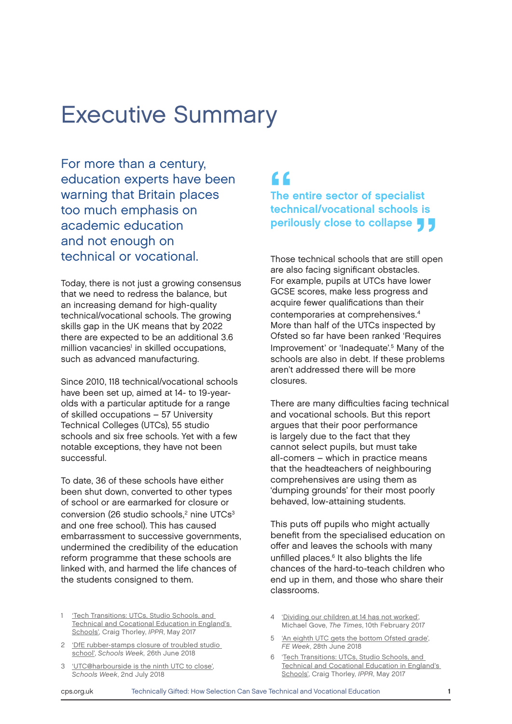### Executive Summary

For more than a century, education experts have been warning that Britain places too much emphasis on academic education and not enough on technical or vocational.

Today, there is not just a growing consensus that we need to redress the balance, but an increasing demand for high-quality technical/vocational schools. The growing skills gap in the UK means that by 2022 there are expected to be an additional 3.6 million vacancies<sup>1</sup> in skilled occupations, such as advanced manufacturing.

Since 2010, 118 technical/vocational schools have been set up, aimed at 14- to 19-yearolds with a particular aptitude for a range of skilled occupations – 57 University Technical Colleges (UTCs), 55 studio schools and six free schools. Yet with a few notable exceptions, they have not been successful.

To date, 36 of these schools have either been shut down, converted to other types of school or are earmarked for closure or conversion (26 studio schools, $2$  nine UTCs $3$ and one free school). This has caused embarrassment to successive governments, undermined the credibility of the education reform programme that these schools are linked with, and harmed the life chances of the students consigned to them.

'Tech Transitions: UTCs, Studio Schools, and [Technical and Cocational Education in England's](https://www.nuffieldfoundation.org/sites/default/files/files/Tech_transitions_May17.pdf)  [Schools'](https://www.nuffieldfoundation.org/sites/default/files/files/Tech_transitions_May17.pdf), Craig Thorley, IPPR, May 2017

- 2 ['DfE rubber-stamps closure of troubled studio](https://schoolsweek.co.uk/dfe-rubber-stamps-closure-of-troubled-studio-school/)  [school'](https://schoolsweek.co.uk/dfe-rubber-stamps-closure-of-troubled-studio-school/), Schools Week, 26th June 2018
- 3 ['UTC@harbourside is the ninth UTC to close'](https://schoolsweek.co.uk/utcharbourside-is-the-ninth-utc-to-close/), Schools Week, 2nd July 2018

"<br>The<br>tech The entire sector of specialist technical/vocational schools is perilously close to collapse  $\blacksquare$ 

Those technical schools that are still open are also facing significant obstacles. For example, pupils at UTCs have lower GCSE scores, make less progress and acquire fewer qualifications than their contemporaries at comprehensives.<sup>4</sup> More than half of the UTCs inspected by Ofsted so far have been ranked 'Requires Improvement' or 'Inadequate'.<sup>5</sup> Many of the schools are also in debt. If these problems aren't addressed there will be more closures.

There are many difficulties facing technical and vocational schools. But this report argues that their poor performance is largely due to the fact that they cannot select pupils, but must take all-comers – which in practice means that the headteachers of neighbouring comprehensives are using them as 'dumping grounds' for their most poorly behaved, low-attaining students.

This puts off pupils who might actually benefit from the specialised education on offer and leaves the schools with many unfilled places.<sup>6</sup> It also blights the life chances of the hard-to-teach children who end up in them, and those who share their classrooms.

- 4 ['Dividing our children at 14 has not worked',](https://www.thetimes.co.uk/article/dividing-our-children-at-14-has-not-worked-5hmdm9mrq) Michael Gove, The Times, 10th February 2017
- 5 ['An eighth UTC gets the bottom Ofsted grade'](https://feweek.co.uk/2018/06/28/an-eighth-utc-gets-the-bottom-ofsted-grade/), FE Week, 28th June 2018
- 6 'Tech Transitions: UTCs, Studio Schools, and Technical and Cocational Education in England's Schools[',](https://www.nuffieldfoundation.org/sites/default/files/files/Tech_transitions_May17.pdf) Craig Thorley, IPPR, May 2017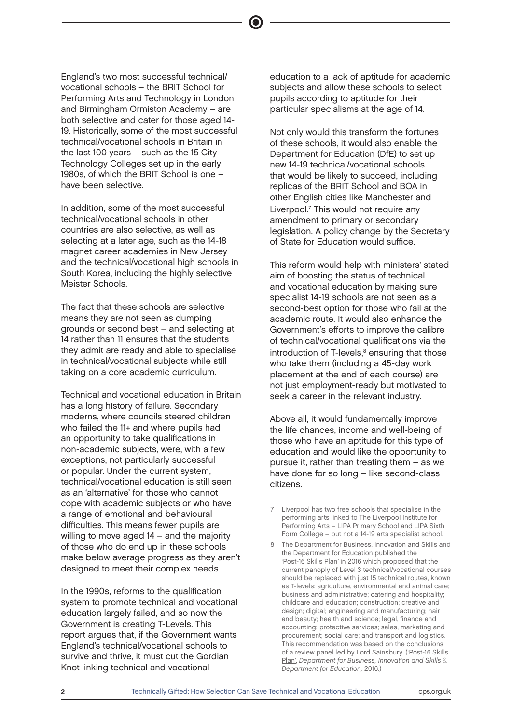England's two most successful technical/ vocational schools – the BRIT School for Performing Arts and Technology in London and Birmingham Ormiston Academy – are both selective and cater for those aged 14- 19. Historically, some of the most successful technical/vocational schools in Britain in the last 100 years – such as the 15 City Technology Colleges set up in the early 1980s, of which the BRIT School is one – have been selective.

In addition, some of the most successful technical/vocational schools in other countries are also selective, as well as selecting at a later age, such as the 14-18 magnet career academies in New Jersey and the technical/vocational high schools in South Korea, including the highly selective Meister Schools.

The fact that these schools are selective means they are not seen as dumping grounds or second best – and selecting at 14 rather than 11 ensures that the students they admit are ready and able to specialise in technical/vocational subjects while still taking on a core academic curriculum.

Technical and vocational education in Britain has a long history of failure. Secondary moderns, where councils steered children who failed the 11+ and where pupils had an opportunity to take qualifications in non-academic subjects, were, with a few exceptions, not particularly successful or popular. Under the current system, technical/vocational education is still seen as an 'alternative' for those who cannot cope with academic subjects or who have a range of emotional and behavioural difficulties. This means fewer pupils are willing to move aged 14 – and the majority of those who do end up in these schools make below average progress as they aren't designed to meet their complex needs.

In the 1990s, reforms to the qualification system to promote technical and vocational education largely failed, and so now the Government is creating T-Levels. This report argues that, if the Government wants England's technical/vocational schools to survive and thrive, it must cut the Gordian Knot linking technical and vocational

education to a lack of aptitude for academic subjects and allow these schools to select pupils according to aptitude for their particular specialisms at the age of 14.

Not only would this transform the fortunes of these schools, it would also enable the Department for Education (DfE) to set up new 14-19 technical/vocational schools that would be likely to succeed, including replicas of the BRIT School and BOA in other English cities like Manchester and Liverpool.<sup>7</sup> This would not require any amendment to primary or secondary legislation. A policy change by the Secretary of State for Education would suffice.

This reform would help with ministers' stated aim of boosting the status of technical and vocational education by making sure specialist 14-19 schools are not seen as a second-best option for those who fail at the academic route. It would also enhance the Government's efforts to improve the calibre of technical/vocational qualifications via the introduction of T-levels,<sup>8</sup> ensuring that those who take them (including a 45-day work placement at the end of each course) are not just employment-ready but motivated to seek a career in the relevant industry.

Above all, it would fundamentally improve the life chances, income and well-being of those who have an aptitude for this type of education and would like the opportunity to pursue it, rather than treating them – as we have done for so long – like second-class citizens.

- 7 Liverpool has two free schools that specialise in the performing arts linked to The Liverpool Institute for Performing Arts – LIPA Primary School and LIPA Sixth Form College – but not a 14-19 arts specialist school.
- 8 The Department for Business, Innovation and Skills and the Department for Education published the 'Post-16 Skills Plan' in 2016 which proposed that the current panoply of Level 3 technical/vocational courses should be replaced with just 15 technical routes, known as T-levels: agriculture, environmental and animal care; business and administrative; catering and hospitality; childcare and education; construction; creative and design; digital; engineering and manufacturing; hair and beauty; health and science; legal, finance and accounting; protective services; sales, marketing and procurement; social care; and transport and logistics. This recommendation was based on the conclusions of a review panel led by Lord Sainsbury. ('[Post-16 Skills](https://assets.publishing.service.gov.uk/government/uploads/system/uploads/attachment_data/file/536043/Post-16_Skills_Plan.pdf)  [Plan'](https://assets.publishing.service.gov.uk/government/uploads/system/uploads/attachment_data/file/536043/Post-16_Skills_Plan.pdf), Department for Business, Innovation and Skills & Department for Education, 2016.)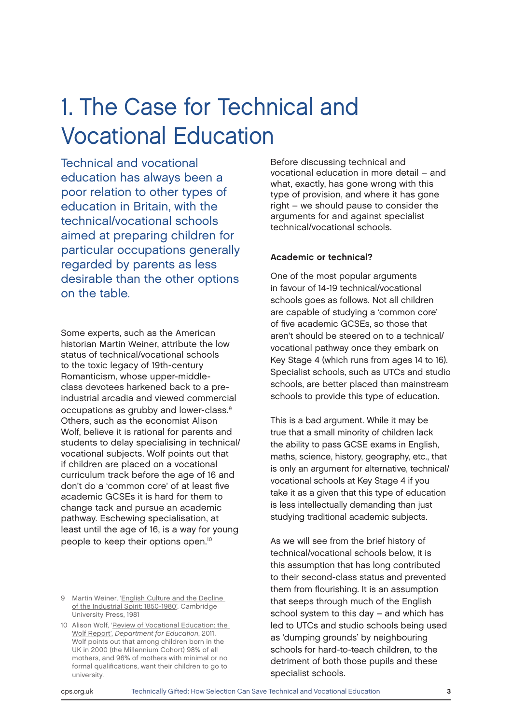## 1. The Case for Technical and Vocational Education

Technical and vocational education has always been a poor relation to other types of education in Britain, with the technical/vocational schools aimed at preparing children for particular occupations generally regarded by parents as less desirable than the other options on the table.

Some experts, such as the American historian Martin Weiner, attribute the low status of technical/vocational schools to the toxic legacy of 19th-century Romanticism, whose upper-middleclass devotees harkened back to a preindustrial arcadia and viewed commercial occupations as grubby and lower-class.<sup>9</sup> Others, such as the economist Alison Wolf, believe it is rational for parents and students to delay specialising in technical/ vocational subjects. Wolf points out that if children are placed on a vocational curriculum track before the age of 16 and don't do a 'common core' of at least five academic GCSEs it is hard for them to change tack and pursue an academic pathway. Eschewing specialisation, at least until the age of 16, is a way for young people to keep their options open.<sup>10</sup>

Before discussing technical and vocational education in more detail – and what, exactly, has gone wrong with this type of provision, and where it has gone right – we should pause to consider the arguments for and against specialist technical/vocational schools.

#### Academic or technical?

One of the most popular arguments in favour of 14-19 technical/vocational schools goes as follows. Not all children are capable of studying a 'common core' of five academic GCSEs, so those that aren't should be steered on to a technical/ vocational pathway once they embark on Key Stage 4 (which runs from ages 14 to 16). Specialist schools, such as UTCs and studio schools, are better placed than mainstream schools to provide this type of education.

This is a bad argument. While it may be true that a small minority of children lack the ability to pass GCSE exams in English, maths, science, history, geography, etc., that is only an argument for alternative, technical/ vocational schools at Key Stage 4 if you take it as a given that this type of education is less intellectually demanding than just studying traditional academic subjects.

As we will see from the brief history of technical/vocational schools below, it is this assumption that has long contributed to their second-class status and prevented them from flourishing. It is an assumption that seeps through much of the English school system to this day – and which has led to UTCs and studio schools being used as 'dumping grounds' by neighbouring schools for hard-to-teach children, to the detriment of both those pupils and these specialist schools.

<sup>9</sup> Martin Weiner, '[English Culture and the Decline](  Martin Weiner, English Culture and the Decline of the Industrial Spirit: 1850-1980 (Cambridge: Cambridge University Press, 1981)
  Alison Wolf, Review of vocational education: the Wolf report, Department for Education, 2011. Wolf points out that among children born in the UK in 2000 (the Millennium Cohort) 98% of all mothers, and 96% of mothers with minimal or no formal qualifications, want their children to go to university.
)  [of the Industrial Spirit: 1850-1980](  Martin Weiner, English Culture and the Decline of the Industrial Spirit: 1850-1980 (Cambridge: Cambridge University Press, 1981)
  Alison Wolf, Review of vocational education: the Wolf report, Department for Education, 2011. Wolf points out that among children born in the UK in 2000 (the Millennium Cohort) 98% of all mothers, and 96% of mothers with minimal or no formal qualifications, want their children to go to university.
)', Cambridge University Press, 1981

<sup>10</sup> Alison Wolf, 'Review of Vocational Education: the [Wolf Report'](https://www.gov.uk/government/publications/review-of-vocational-education-the-wolf-report), Department for Education, 2011. Wolf points out that among children born in the UK in 2000 (the Millennium Cohort) 98% of all mothers, and 96% of mothers with minimal or no formal qualifications, want their children to go to university.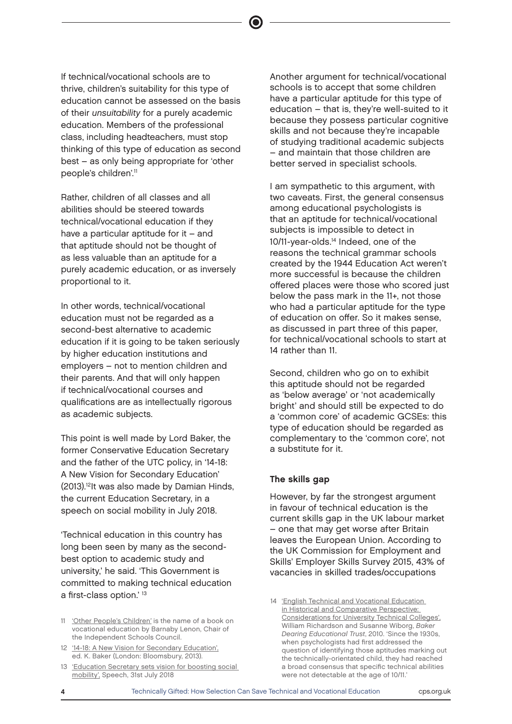If technical/vocational schools are to thrive, children's suitability for this type of education cannot be assessed on the basis of their unsuitability for a purely academic education. Members of the professional class, including headteachers, must stop thinking of this type of education as second best – as only being appropriate for 'other people's children'.<sup>11</sup>

Rather, children of all classes and all abilities should be steered towards technical/vocational education if they have a particular aptitude for it – and that aptitude should not be thought of as less valuable than an aptitude for a purely academic education, or as inversely proportional to it.

In other words, technical/vocational education must not be regarded as a second-best alternative to academic education if it is going to be taken seriously by higher education institutions and employers – not to mention children and their parents. And that will only happen if technical/vocational courses and qualifications are as intellectually rigorous as academic subjects.

This point is well made by Lord Baker, the former Conservative Education Secretary and the father of the UTC policy, in '14-18: A New Vision for Secondary Education' (2013).<sup>12</sup>It was also made by Damian Hinds, the current Education Secretary, in a speech on social mobility in July 2018.

'Technical education in this country has long been seen by many as the secondbest option to academic study and university,' he said. 'This Government is committed to making technical education a first-class option.' <sup>13</sup>

- 12 ['14-18: A New Vision for Secondary Education',](https://www.amazon.co.uk/14-18-New-Vision-Secondary-Education/dp/1780938446) ed. K. Baker (London: Bloomsbury, 2013).
- 13 'Education Secretary sets vision for boosting social [mobility',](https://www.gov.uk/government/speeches/education-secretary-sets-vision-for-boosting-social-mobility) Speech, 31st July 2018

Another argument for technical/vocational schools is to accept that some children have a particular aptitude for this type of education – that is, they're well-suited to it because they possess particular cognitive skills and not because they're incapable of studying traditional academic subjects – and maintain that those children are better served in specialist schools.

I am sympathetic to this argument, with two caveats. First, the general consensus among educational psychologists is that an aptitude for technical/vocational subjects is impossible to detect in 10/11-year-olds.<sup>14</sup> Indeed, one of the reasons the technical grammar schools created by the 1944 Education Act weren't more successful is because the children offered places were those who scored just below the pass mark in the 11+, not those who had a particular aptitude for the type of education on offer. So it makes sense, as discussed in part three of this paper, for technical/vocational schools to start at 14 rather than 11.

Second, children who go on to exhibit this aptitude should not be regarded as 'below average' or 'not academically bright' and should still be expected to do a 'common core' of academic GCSEs: this type of education should be regarded as complementary to the 'common core', not a substitute for it.

#### The skills gap

However, by far the strongest argument in favour of technical education is the current skills gap in the UK labour market – one that may get worse after Britain leaves the European Union. According to the UK Commission for Employment and Skills' Employer Skills Survey 2015, 43% of vacancies in skilled trades/occupations

<sup>11</sup> ['Other People's Children](https://www.amazon.co.uk/Other-Peoples-Children-happens-academically/dp/1911382535/)' is the name of a book on vocational education by Barnaby Lenon, Chair of the Independent Schools Council.

<sup>14</sup> ['English Technical and Vocational Education](http://www.cea.org.uk/files/2513/6795/8000/UTCDoc.pdf)  [in Historical and Comparative Perspective:](http://www.cea.org.uk/files/2513/6795/8000/UTCDoc.pdf)  [Considerations for University Technical Colleges',](http://www.cea.org.uk/files/2513/6795/8000/UTCDoc.pdf) William Richardson and Susanne Wiborg, Baker Dearing Educational Trust, 2010. 'Since the 1930s, when psychologists had first addressed the question of identifying those aptitudes marking out the technically-orientated child, they had reached a broad consensus that specific technical abilities were not detectable at the age of 10/11.'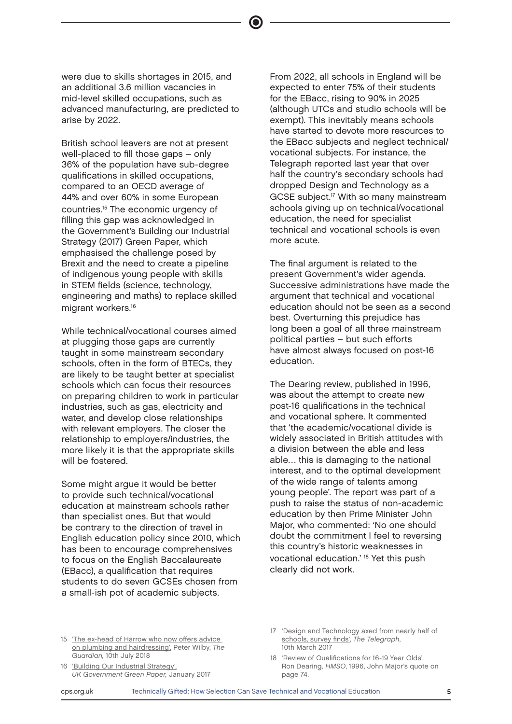were due to skills shortages in 2015, and an additional 3.6 million vacancies in mid-level skilled occupations, such as advanced manufacturing, are predicted to arise by 2022.

British school leavers are not at present well-placed to fill those gaps – only 36% of the population have sub-degree qualifications in skilled occupations, compared to an OECD average of 44% and over 60% in some European countries.<sup>15</sup> The economic urgency of filling this gap was acknowledged in the Government's Building our Industrial Strategy (2017) Green Paper, which emphasised the challenge posed by Brexit and the need to create a pipeline of indigenous young people with skills in STEM fields (science, technology, engineering and maths) to replace skilled migrant workers.<sup>16</sup>

While technical/vocational courses aimed at plugging those gaps are currently taught in some mainstream secondary schools, often in the form of BTECs, they are likely to be taught better at specialist schools which can focus their resources on preparing children to work in particular industries, such as gas, electricity and water, and develop close relationships with relevant employers. The closer the relationship to employers/industries, the more likely it is that the appropriate skills will be fostered.

Some might argue it would be better to provide such technical/vocational education at mainstream schools rather than specialist ones. But that would be contrary to the direction of travel in English education policy since 2010, which has been to encourage comprehensives to focus on the English Baccalaureate (EBacc), a qualification that requires students to do seven GCSEs chosen from a small-ish pot of academic subjects.

From 2022, all schools in England will be expected to enter 75% of their students for the EBacc, rising to 90% in 2025 (although UTCs and studio schools will be exempt). This inevitably means schools have started to devote more resources to the EBacc subjects and neglect technical/ vocational subjects. For instance, the Telegraph reported last year that over half the country's secondary schools had dropped Design and Technology as a GCSE subject.<sup>17</sup> With so many mainstream schools giving up on technical/vocational education, the need for specialist technical and vocational schools is even more acute.

The final argument is related to the present Government's wider agenda. Successive administrations have made the argument that technical and vocational education should not be seen as a second best. Overturning this prejudice has long been a goal of all three mainstream political parties – but such efforts have almost always focused on post-16 education.

The Dearing review, published in 1996, was about the attempt to create new post-16 qualifications in the technical and vocational sphere. It commented that 'the academic/vocational divide is widely associated in British attitudes with a division between the able and less able… this is damaging to the national interest, and to the optimal development of the wide range of talents among young people'. The report was part of a push to raise the status of non-academic education by then Prime Minister John Major, who commented: 'No one should doubt the commitment I feel to reversing this country's historic weaknesses in vocational education.' <sup>18</sup> Yet this push clearly did not work.

- 16 ['Building Our Industrial Strategy',](https://beisgovuk.citizenspace.com/strategy/industrial-strategy/supporting_documents/buildingourindustrialstrategygreenpaper.pdf) UK Government Green Paper, January 2017
- 17 'Design and Technology axed from nearly half of [schools, survey finds',](https://www.telegraph.co.uk/education/2017/03/10/design-technology-gcse-axed-nearly-half-schools-survey-finds/) The Telegraph, 10th March 2017
- 18 ['Review of Qualifications for 16-19 Year Olds',](https://files.eric.ed.gov/fulltext/ED403388.pdf)  Ron Dearing, HMSO, 1996, John Major's quote on page 74.

<sup>15 &#</sup>x27;The ex-head of Harrow who now offers advice [on plumbing and hairdressing',](https://www.theguardian.com/education/2018/jul/10/barnaby-lenon-harrow-school-head-vocational-education) Peter Wilby, The Guardian, 10th July 2018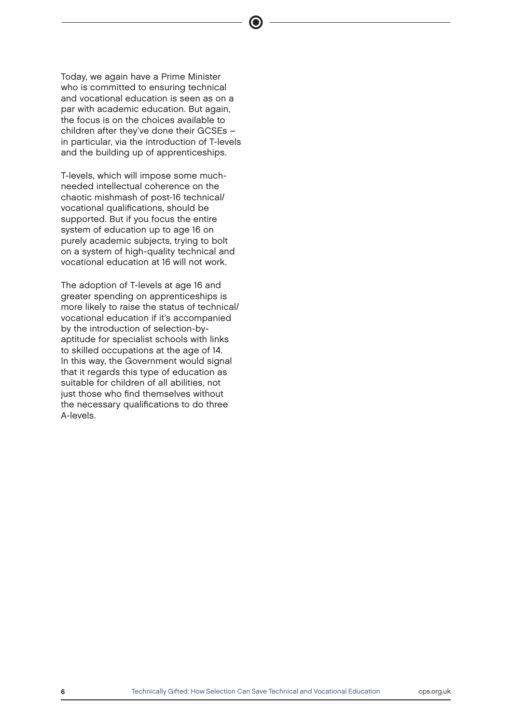Today, we again have a Prime Minister who is committed to ensuring technical and vocational education is seen as on a par with academic education. But again, the focus is on the choices available to children after they've done their GCSEs – in particular, via the introduction of T-levels and the building up of apprenticeships.

T-levels, which will impose some muchneeded intellectual coherence on the chaotic mishmash of post-16 technical/ vocational qualifications, should be supported. But if you focus the entire system of education up to age 16 on purely academic subjects, trying to bolt on a system of high-quality technical and vocational education at 16 will not work.

The adoption of T-levels at age 16 and greater spending on apprenticeships is more likely to raise the status of technical/ vocational education if it's accompanied by the introduction of selection-byaptitude for specialist schools with links to skilled occupations at the age of 14. In this way, the Government would signal that it regards this type of education as suitable for children of all abilities, not just those who find themselves without the necessary qualifications to do three A-levels.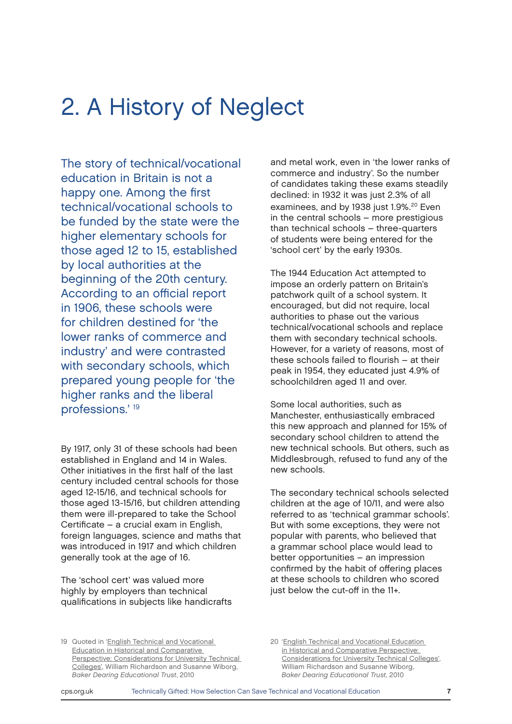## 2. A History of Neglect

The story of technical/vocational education in Britain is not a happy one. Among the first technical/vocational schools to be funded by the state were the higher elementary schools for those aged 12 to 15, established by local authorities at the beginning of the 20th century. According to an official report in 1906, these schools were for children destined for 'the lower ranks of commerce and industry' and were contrasted with secondary schools, which prepared young people for 'the higher ranks and the liberal professions.' <sup>19</sup>

By 1917, only 31 of these schools had been established in England and 14 in Wales. Other initiatives in the first half of the last century included central schools for those aged 12-15/16, and technical schools for those aged 13-15/16, but children attending them were ill-prepared to take the School Certificate – a crucial exam in English, foreign languages, science and maths that was introduced in 1917 and which children generally took at the age of 16.

The 'school cert' was valued more highly by employers than technical qualifications in subjects like handicrafts and metal work, even in 'the lower ranks of commerce and industry'. So the number of candidates taking these exams steadily declined: in 1932 it was just 2.3% of all examinees, and by 1938 just 1.9%.<sup>20</sup> Even in the central schools – more prestigious than technical schools – three-quarters of students were being entered for the 'school cert' by the early 1930s.

The 1944 Education Act attempted to impose an orderly pattern on Britain's patchwork quilt of a school system. It encouraged, but did not require, local authorities to phase out the various technical/vocational schools and replace them with secondary technical schools. However, for a variety of reasons, most of these schools failed to flourish – at their peak in 1954, they educated just 4.9% of schoolchildren aged 11 and over.

Some local authorities, such as Manchester, enthusiastically embraced this new approach and planned for 15% of secondary school children to attend the new technical schools. But others, such as Middlesbrough, refused to fund any of the new schools.

The secondary technical schools selected children at the age of 10/11, and were also referred to as 'technical grammar schools'. But with some exceptions, they were not popular with parents, who believed that a grammar school place would lead to better opportunities – an impression confirmed by the habit of offering places at these schools to children who scored just below the cut-off in the 11+.

19 Quoted in '[English Technical and Vocational](http://www.cea.org.uk/files/2513/6795/8000/UTCDoc.pdf)  [Education in Historical and Comparative](http://www.cea.org.uk/files/2513/6795/8000/UTCDoc.pdf)  [Perspective: Considerations for University Technical](http://www.cea.org.uk/files/2513/6795/8000/UTCDoc.pdf)  [Colleges',](http://www.cea.org.uk/files/2513/6795/8000/UTCDoc.pdf) William Richardson and Susanne Wiborg, Baker Dearing Educational Trust, 2010

20 ['English Technical and Vocational Education](http://www.cea.org.uk/files/2513/6795/8000/UTCDoc.pdf)  [in Historical and Comparative Perspective:](http://www.cea.org.uk/files/2513/6795/8000/UTCDoc.pdf)  [Considerations for University Technical Colleges',](http://www.cea.org.uk/files/2513/6795/8000/UTCDoc.pdf) William Richardson and Susanne Wiborg, Baker Dearing Educational Trust, 2010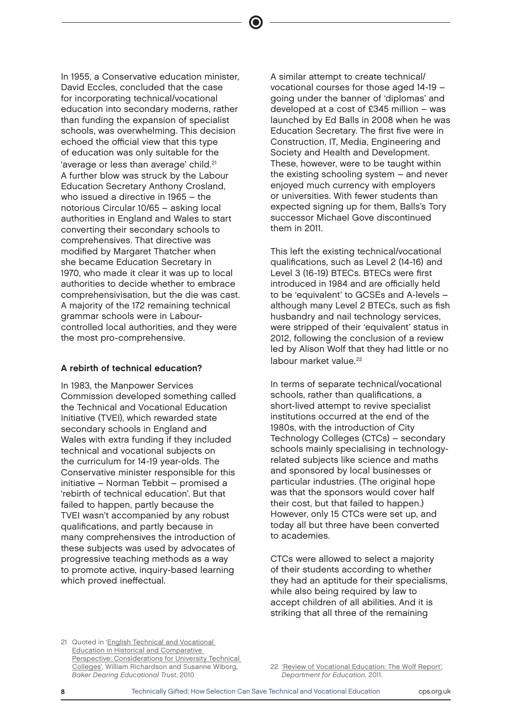In 1955, a Conservative education minister, David Eccles, concluded that the case for incorporating technical/vocational education into secondary moderns, rather than funding the expansion of specialist schools, was overwhelming. This decision echoed the official view that this type of education was only suitable for the 'average or less than average' child.<sup>21</sup> A further blow was struck by the Labour Education Secretary Anthony Crosland, who issued a directive in 1965 – the notorious Circular 10/65 – asking local authorities in England and Wales to start converting their secondary schools to comprehensives. That directive was modified by Margaret Thatcher when she became Education Secretary in 1970, who made it clear it was up to local authorities to decide whether to embrace comprehensivisation, but the die was cast. A majority of the 172 remaining technical grammar schools were in Labourcontrolled local authorities, and they were the most pro-comprehensive.

#### A rebirth of technical education?

In 1983, the Manpower Services Commission developed something called the Technical and Vocational Education Initiative (TVEI), which rewarded state secondary schools in England and Wales with extra funding if they included technical and vocational subjects on the curriculum for 14-19 year-olds. The Conservative minister responsible for this initiative – Norman Tebbit – promised a 'rebirth of technical education'. But that failed to happen, partly because the TVEI wasn't accompanied by any robust qualifications, and partly because in many comprehensives the introduction of these subjects was used by advocates of progressive teaching methods as a way to promote active, inquiry-based learning which proved ineffectual.

A similar attempt to create technical/ vocational courses for those aged 14-19 – going under the banner of 'diplomas' and developed at a cost of £345 million – was launched by Ed Balls in 2008 when he was Education Secretary. The first five were in Construction, IT, Media, Engineering and Society and Health and Development. These, however, were to be taught within the existing schooling system – and never enjoyed much currency with employers or universities. With fewer students than expected signing up for them, Balls's Tory successor Michael Gove discontinued them in 2011.

This left the existing technical/vocational qualifications, such as Level 2 (14-16) and Level 3 (16-19) BTECs. BTECs were first introduced in 1984 and are officially held to be 'equivalent' to GCSEs and A-levels – although many Level 2 BTECs, such as fish husbandry and nail technology services, were stripped of their 'equivalent' status in 2012, following the conclusion of a review led by Alison Wolf that they had little or no labour market value.<sup>22</sup>

In terms of separate technical/vocational schools, rather than qualifications, a short-lived attempt to revive specialist institutions occurred at the end of the 1980s, with the introduction of City Technology Colleges (CTCs) – secondary schools mainly specialising in technologyrelated subjects like science and maths and sponsored by local businesses or particular industries. (The original hope was that the sponsors would cover half their cost, but that failed to happen.) However, only 15 CTCs were set up, and today all but three have been converted to academies.

CTCs were allowed to select a majority of their students according to whether they had an aptitude for their specialisms, while also being required by law to accept children of all abilities. And it is striking that all three of the remaining

21 Quoted in 'English Technical and Vocational [Education in Historical and Comparative](http://www.cea.org.uk/files/2513/6795/8000/UTCDoc.pdf)  [Perspective: Considerations for University Technical](http://www.cea.org.uk/files/2513/6795/8000/UTCDoc.pdf)  [Colleges',](http://www.cea.org.uk/files/2513/6795/8000/UTCDoc.pdf) William Richardson and Susanne Wiborg, Baker Dearing Educational Trust, 2010

<sup>22</sup> ['Review of Vocational Education: The Wolf Report',](https://www.gov.uk/government/publications/review-of-vocational-education-the-wolf-report) Department for Education, 2011.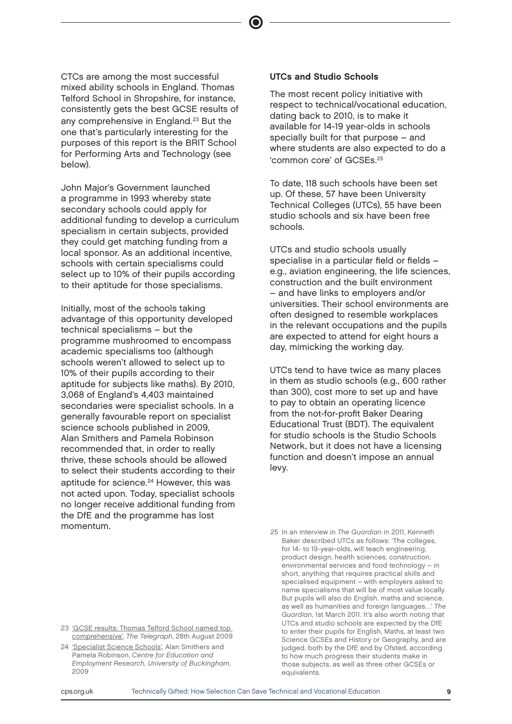CTCs are among the most successful mixed ability schools in England. Thomas Telford School in Shropshire, for instance, consistently gets the best GCSE results of any comprehensive in England.<sup>23</sup> But the one that's particularly interesting for the purposes of this report is the BRIT School for Performing Arts and Technology (see below).

John Major's Government launched a programme in 1993 whereby state secondary schools could apply for additional funding to develop a curriculum specialism in certain subjects, provided they could get matching funding from a local sponsor. As an additional incentive, schools with certain specialisms could select up to 10% of their pupils according to their aptitude for those specialisms.

Initially, most of the schools taking advantage of this opportunity developed technical specialisms – but the programme mushroomed to encompass academic specialisms too (although schools weren't allowed to select up to 10% of their pupils according to their aptitude for subjects like maths). By 2010, 3,068 of England's 4,403 maintained secondaries were specialist schools. In a generally favourable report on specialist science schools published in 2009, Alan Smithers and Pamela Robinson recommended that, in order to really thrive, these schools should be allowed to select their students according to their aptitude for science.<sup>24</sup> However, this was not acted upon. Today, specialist schools no longer receive additional funding from the DfE and the programme has lost momentum.

#### UTCs and Studio Schools

The most recent policy initiative with respect to technical/vocational education, dating back to 2010, is to make it available for 14-19 year-olds in schools specially built for that purpose – and where students are also expected to do a 'common core' of GCSEs.<sup>25</sup>

To date, 118 such schools have been set up. Of these, 57 have been University Technical Colleges (UTCs), 55 have been studio schools and six have been free schools.

UTCs and studio schools usually specialise in a particular field or fields – e.g., aviation engineering, the life sciences, construction and the built environment – and have links to employers and/or universities. Their school environments are often designed to resemble workplaces in the relevant occupations and the pupils are expected to attend for eight hours a day, mimicking the working day.

UTCs tend to have twice as many places in them as studio schools (e.g., 600 rather than 300), cost more to set up and have to pay to obtain an operating licence from the not-for-profit Baker Dearing Educational Trust (BDT). The equivalent for studio schools is the Studio Schools Network, but it does not have a licensing function and doesn't impose an annual levy.

25 In an interview in The Guardian in 2011, Kenneth Baker described UTCs as follows: 'The colleges, for 14- to 19-year-olds, will teach engineering, product design, health sciences, construction, environmental services and food technology – in short, anything that requires practical skills and specialised equipment – with employers asked to name specialisms that will be of most value locally. But pupils will also do English, maths and science, as well as humanities and foreign languages…' The Guardian, 1st March 2011. It's also worth noting that UTCs and studio schools are expected by the DfE to enter their pupils for English, Maths, at least two Science GCSEs and History or Geography, and are judged, both by the DfE and by Ofsted, according to how much progress their students make in those subjects, as well as three other GCSEs or equivalents.

<sup>23</sup> ['GCSE results: Thomas Telford School named top](https://www.telegraph.co.uk/education/educationnews/6101230/GCSE-results-Thomas-Telford-School-named-top-comprehensive.html)  [comprehensive',](https://www.telegraph.co.uk/education/educationnews/6101230/GCSE-results-Thomas-Telford-School-named-top-comprehensive.html) The Telegraph, 28th August 2009

<sup>24</sup> ['Specialist Science Schools'](https://www.researchgate.net/publication/281776026_Specialist_Science_Schools), Alan Smithers and Pamela Robinson, Centre for Education and Employment Research, University of Buckingham, 2009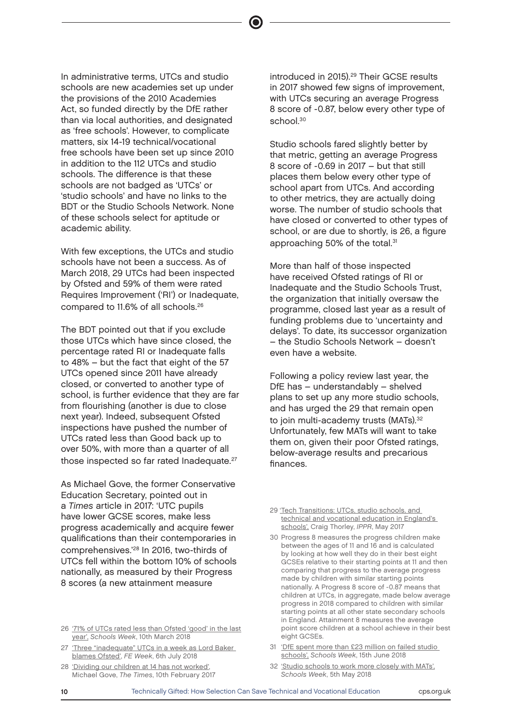In administrative terms, UTCs and studio schools are new academies set up under the provisions of the 2010 Academies Act, so funded directly by the DfE rather than via local authorities, and designated as 'free schools'. However, to complicate matters, six 14-19 technical/vocational free schools have been set up since 2010 in addition to the 112 UTCs and studio schools. The difference is that these schools are not badged as 'UTCs' or 'studio schools' and have no links to the BDT or the Studio Schools Network. None of these schools select for aptitude or academic ability.

With few exceptions, the UTCs and studio schools have not been a success. As of March 2018, 29 UTCs had been inspected by Ofsted and 59% of them were rated Requires Improvement ('RI') or Inadequate, compared to 11.6% of all schools.<sup>26</sup>

The BDT pointed out that if you exclude those UTCs which have since closed, the percentage rated RI or Inadequate falls to 48% – but the fact that eight of the 57 UTCs opened since 2011 have already closed, or converted to another type of school, is further evidence that they are far from flourishing (another is due to close next year). Indeed, subsequent Ofsted inspections have pushed the number of UTCs rated less than Good back up to over 50%, with more than a quarter of all those inspected so far rated Inadequate.<sup>27</sup>

As Michael Gove, the former Conservative Education Secretary, pointed out in a Times article in 2017: 'UTC pupils have lower GCSE scores, make less progress academically and acquire fewer qualifications than their contemporaries in comprehensives.'<sup>28</sup> In 2016, two-thirds of UTCs fell within the bottom 10% of schools nationally, as measured by their Progress 8 scores (a new attainment measure

28 ['Dividing our children at 14 has not worked',](https://www.thetimes.co.uk/article/dividing-our-children-at-14-has-not-worked-5hmdm9mrq) Michael Gove, The Times, 10th February 2017 introduced in 2015).<sup>29</sup> Their GCSE results in 2017 showed few signs of improvement, with UTCs securing an average Progress 8 score of -0.87, below every other type of school $30$ 

Studio schools fared slightly better by that metric, getting an average Progress 8 score of -0.69 in 2017 – but that still places them below every other type of school apart from UTCs. And according to other metrics, they are actually doing worse. The number of studio schools that have closed or converted to other types of school, or are due to shortly, is 26, a figure approaching 50% of the total.<sup>31</sup>

More than half of those inspected have received Ofsted ratings of RI or Inadequate and the Studio Schools Trust, the organization that initially oversaw the programme, closed last year as a result of funding problems due to 'uncertainty and delays'. To date, its successor organization – the Studio Schools Network – doesn't even have a website.

Following a policy review last year, the DfE has – understandably – shelved plans to set up any more studio schools, and has urged the 29 that remain open to join multi-academy trusts (MATs).<sup>32</sup> Unfortunately, few MATs will want to take them on, given their poor Ofsted ratings, below-average results and precarious finances.

- 31 ['DfE spent more than £23 million on failed studio](https://schoolsweek.co.uk/dfe-spent-more-than-23m-on-failed-studio-schools/)  [schools',](https://schoolsweek.co.uk/dfe-spent-more-than-23m-on-failed-studio-schools/) Schools Week, 15th June 2018
- 32 ['Studio schools to work more closely with MATs',](https://schoolsweek.co.uk/studio-schools-to-work-more-closely-with-mats/) Schools Week, 5th May 2018

<sup>26</sup> ['71% of UTCs rated less than Ofsted 'good' in the last](https://schoolsweek.co.uk/71-of-utcs-rated-less-than-ofsted-good-in-the-last-year/)  [year',](https://schoolsweek.co.uk/71-of-utcs-rated-less-than-ofsted-good-in-the-last-year/) Schools Week, 10th March 2018

<sup>27 &#</sup>x27;Three "inadequate" UTCs in a week as Lord Baker [blames Ofsted'](https://feweek.co.uk/2018/07/06/three-inadequate-utcs-in-a-week-as-lord-baker-blames-ofsted/), FE Week, 6th July 2018

<sup>29</sup> ['Tech Transitions: UTCs, studio schools, and](https://www.nuffieldfoundation.org/sites/default/files/files/Tech_transitions_May17.pdf)  [technical and vocational education in England's](https://www.nuffieldfoundation.org/sites/default/files/files/Tech_transitions_May17.pdf)  [schools',](https://www.nuffieldfoundation.org/sites/default/files/files/Tech_transitions_May17.pdf) Craig Thorley, IPPR, May 2017

<sup>30</sup> Progress 8 measures the progress children make between the ages of 11 and 16 and is calculated by looking at how well they do in their best eight GCSEs relative to their starting points at 11 and then comparing that progress to the average progress made by children with similar starting points nationally. A Progress 8 score of -0.87 means that children at UTCs, in aggregate, made below average progress in 2018 compared to children with similar starting points at all other state secondary schools in England. Attainment 8 measures the average point score children at a school achieve in their best eight GCSEs.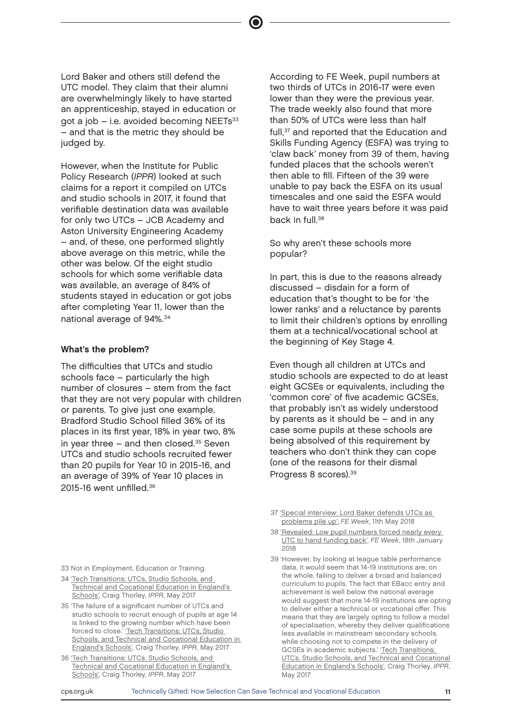Lord Baker and others still defend the UTC model. They claim that their alumni are overwhelmingly likely to have started an apprenticeship, stayed in education or got a job  $-$  i.e. avoided becoming NEETs $33$ – and that is the metric they should be judged by.

However, when the Institute for Public Policy Research (IPPR) looked at such claims for a report it compiled on UTCs and studio schools in 2017, it found that verifiable destination data was available for only two UTCs – JCB Academy and Aston University Engineering Academy – and, of these, one performed slightly above average on this metric, while the other was below. Of the eight studio schools for which some verifiable data was available, an average of 84% of students stayed in education or got jobs after completing Year 11, lower than the national average of 94%.<sup>34</sup>

#### What's the problem?

The difficulties that UTCs and studio schools face – particularly the high number of closures – stem from the fact that they are not very popular with children or parents. To give just one example, Bradford Studio School filled 36% of its places in its first year, 18% in year two, 8% in year three  $-$  and then closed. $35$  Seven UTCs and studio schools recruited fewer than 20 pupils for Year 10 in 2015-16, and an average of 39% of Year 10 places in 2015-16 went unfilled 36

According to FE Week, pupil numbers at two thirds of UTCs in 2016-17 were even lower than they were the previous year. The trade weekly also found that more than 50% of UTCs were less than half full,<sup>37</sup> and reported that the Education and Skills Funding Agency (ESFA) was trying to 'claw back' money from 39 of them, having funded places that the schools weren't then able to fill. Fifteen of the 39 were unable to pay back the ESFA on its usual timescales and one said the ESFA would have to wait three years before it was paid back in full.<sup>38</sup>

So why aren't these schools more popular?

In part, this is due to the reasons already discussed – disdain for a form of education that's thought to be for 'the lower ranks' and a reluctance by parents to limit their children's options by enrolling them at a technical/vocational school at the beginning of Key Stage 4.

Even though all children at UTCs and studio schools are expected to do at least eight GCSEs or equivalents, including the 'common core' of five academic GCSEs, that probably isn't as widely understood by parents as it should be – and in any case some pupils at these schools are being absolved of this requirement by teachers who don't think they can cope (one of the reasons for their dismal Progress 8 scores).<sup>39</sup>

- 38 ['Revealed: Low pupil numbers forced nearly every](https://feweek.co.uk/2018/01/18/revealed-low-pupil-numbers-forced-nearly-every-utc-to-hand-funding-back/)  [UTC to hand funding back'](https://feweek.co.uk/2018/01/18/revealed-low-pupil-numbers-forced-nearly-every-utc-to-hand-funding-back/), FE Week, 18th January 2018
- 39 'However, by looking at league table performance data, it would seem that 14-19 institutions are, on the whole, failing to deliver a broad and balanced curriculum to pupils. The fact that EBacc entry and achievement is well below the national average would suggest that more 14-19 institutions are opting to deliver either a technical or vocational offer. This means that they are largely opting to follow a model of specialisation, whereby they deliver qualifications less available in mainstream secondary schools, while choosing not to compete in the delivery of GCSEs in academic subjects.' ['T](https://www.nuffieldfoundation.org/sites/default/files/files/Tech_transitions_May17.pdf)ech Transitions: UTCs, Studio Schools, and Technical and Cocational Education in England's Schools', Craig Thorley, IPPR, May 2017
- 33 Not in Employment, Education or Training.
- 34 ['Tech Transitions: UTCs, Studio Schools, and](https://www.nuffieldfoundation.org/sites/default/files/files/Tech_transitions_May17.pdf)  [Technical and Cocational Education in England's](https://www.nuffieldfoundation.org/sites/default/files/files/Tech_transitions_May17.pdf)  [Schools'](https://www.nuffieldfoundation.org/sites/default/files/files/Tech_transitions_May17.pdf), Craig Thorley, IPPR, May 2017
- 35 'The failure of a significant number of UTCs and studio schools to recruit enough of pupils at age 14 is linked to the growing number which have been forced to close.' 'Tech Transitions: UTCs, Studio [Schools, and Technical and Cocational Education in](https://www.nuffieldfoundation.org/sites/default/files/files/Tech_transitions_May17.pdf)  [England's Schools',](https://www.nuffieldfoundation.org/sites/default/files/files/Tech_transitions_May17.pdf) Craig Thorley, IPPR, May 2017
- 36 ['Tech Transitions: UTCs, Studio Schools, and](https://www.nuffieldfoundation.org/sites/default/files/files/Tech_transitions_May17.pdf)  [Technical and Cocational Education in England's](https://www.nuffieldfoundation.org/sites/default/files/files/Tech_transitions_May17.pdf)  [Schools'](https://www.nuffieldfoundation.org/sites/default/files/files/Tech_transitions_May17.pdf), Craig Thorley, IPPR, May 2017

<sup>37</sup> ['Special interview: Lord Baker defends UTCs as](https://feweek.co.uk/2018/05/11/special-interview-lord-baker-defends-utcs-as-problems-pile-up/)  [problems pile up',](https://feweek.co.uk/2018/05/11/special-interview-lord-baker-defends-utcs-as-problems-pile-up/) FE Week, 11th May 2018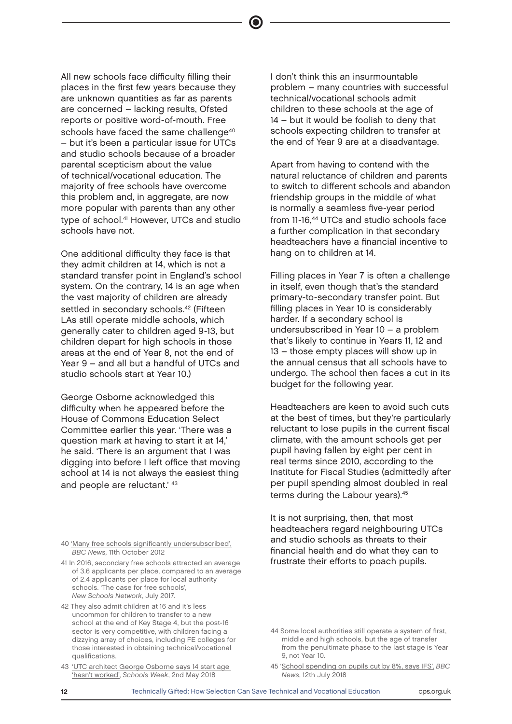All new schools face difficulty filling their places in the first few years because they are unknown quantities as far as parents are concerned – lacking results, Ofsted reports or positive word-of-mouth. Free schools have faced the same challenge<sup>40</sup> – but it's been a particular issue for UTCs and studio schools because of a broader parental scepticism about the value of technical/vocational education. The majority of free schools have overcome this problem and, in aggregate, are now more popular with parents than any other type of school.<sup>41</sup> However, UTCs and studio schools have not.

One additional difficulty they face is that they admit children at 14, which is not a standard transfer point in England's school system. On the contrary, 14 is an age when the vast majority of children are already settled in secondary schools.<sup>42</sup> (Fifteen LAs still operate middle schools, which generally cater to children aged 9-13, but children depart for high schools in those areas at the end of Year 8, not the end of Year 9 – and all but a handful of UTCs and studio schools start at Year 10.)

George Osborne acknowledged this difficulty when he appeared before the House of Commons Education Select Committee earlier this year. 'There was a question mark at having to start it at 14,' he said. 'There is an argument that I was digging into before I left office that moving school at 14 is not always the easiest thing and people are reluctant.' <sup>43</sup>

40 ['Many free schools significantly undersubscribed',](https://www.bbc.co.uk/news/education-19909369) BBC News, 11th October 2012

- 41 In 2016, secondary free schools attracted an average of 3.6 applicants per place, compared to an average of 2.4 applicants per place for local authority schools. ['The case for free schools'](https://www.newschoolsnetwork.org/sites/default/files/The%20case%20for%20free%20schools.pdf), New Schools Network, July 2017.
- 42 They also admit children at 16 and it's less uncommon for children to transfer to a new school at the end of Key Stage 4, but the post-16 sector is very competitive, with children facing a dizzying array of choices, including FE colleges for those interested in obtaining technical/vocational qualifications.
- 43 ['UTC architect George Osborne says 14 start age](https://schoolsweek.co.uk/utc-architect-george-osborne-says-14-start-age-hasnt-worked/)  ['hasn't worked',](https://schoolsweek.co.uk/utc-architect-george-osborne-says-14-start-age-hasnt-worked/) Schools Week, 2nd May 2018

I don't think this an insurmountable problem – many countries with successful technical/vocational schools admit children to these schools at the age of 14 – but it would be foolish to deny that schools expecting children to transfer at the end of Year 9 are at a disadvantage.

Apart from having to contend with the natural reluctance of children and parents to switch to different schools and abandon friendship groups in the middle of what is normally a seamless five-year period from 11-16.<sup>44</sup> UTCs and studio schools face a further complication in that secondary headteachers have a financial incentive to hang on to children at 14.

Filling places in Year 7 is often a challenge in itself, even though that's the standard primary-to-secondary transfer point. But filling places in Year 10 is considerably harder. If a secondary school is undersubscribed in Year 10 – a problem that's likely to continue in Years 11, 12 and 13 – those empty places will show up in the annual census that all schools have to undergo. The school then faces a cut in its budget for the following year.

Headteachers are keen to avoid such cuts at the best of times, but they're particularly reluctant to lose pupils in the current fiscal climate, with the amount schools get per pupil having fallen by eight per cent in real terms since 2010, according to the Institute for Fiscal Studies (admittedly after per pupil spending almost doubled in real terms during the Labour years).<sup>45</sup>

It is not surprising, then, that most headteachers regard neighbouring UTCs and studio schools as threats to their financial health and do what they can to frustrate their efforts to poach pupils.

<sup>44</sup> Some local authorities still operate a system of first, middle and high schools, but the age of transfer from the penultimate phase to the last stage is Year 9, not Year 10.

<sup>45 &#</sup>x27;[School spending on pupils cut by 8%, says IFS',](https://www.bbc.co.uk/news/education-44794205) BBC News, 12th July 2018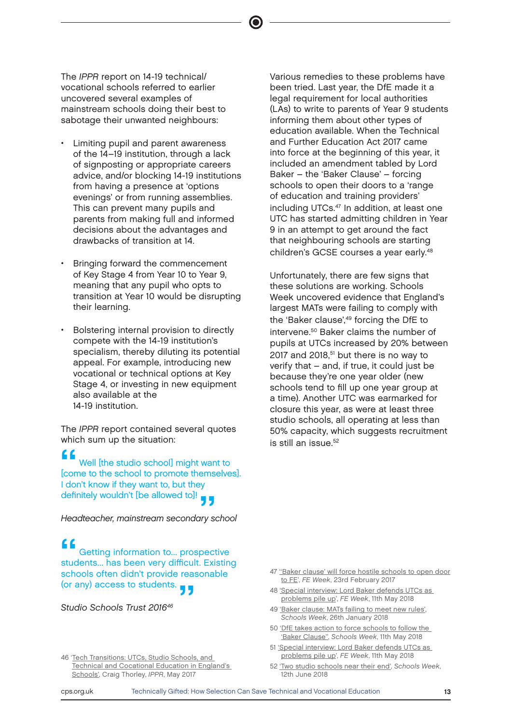The IPPR report on 14-19 technical/ vocational schools referred to earlier uncovered several examples of mainstream schools doing their best to sabotage their unwanted neighbours:

- Limiting pupil and parent awareness of the 14–19 institution, through a lack of signposting or appropriate careers advice, and/or blocking 14-19 institutions from having a presence at 'options evenings' or from running assemblies. This can prevent many pupils and parents from making full and informed decisions about the advantages and drawbacks of transition at 14.
- Bringing forward the commencement of Key Stage 4 from Year 10 to Year 9, meaning that any pupil who opts to transition at Year 10 would be disrupting their learning.
- Bolstering internal provision to directly compete with the 14-19 institution's specialism, thereby diluting its potential appeal. For example, introducing new vocational or technical options at Key Stage 4, or investing in new equipment also available at the 14-19 institution.

The IPPR report contained several quotes which sum up the situation:

**f**<br> **f**<br> **f**<br> **location** to the school to promote themselves]. Well [the studio school] might want to I don't know if they want to, but they definitely wouldn't [be allowed to]!<br>Headteacher, mainstream secondary s

Headteacher, mainstream secondary school

formation to... prospective<br>students... has been very difficult. Existing<br>the didn't example approaches Getting information to... prospective schools often didn't provide reasonable (or any) access to students.<br>Studio Schools Trust 2016<sup>46</sup>

46 'Tech Transitions: UTCs, Studio Schools, and Technical and Cocational Education in England's Schools['](https://www.nuffieldfoundation.org/sites/default/files/files/Tech_transitions_May17.pdf), Craig Thorley, IPPR, May 2017

Various remedies to these problems have been tried. Last year, the DfE made it a legal requirement for local authorities (LAs) to write to parents of Year 9 students informing them about other types of education available. When the Technical and Further Education Act 2017 came into force at the beginning of this year, it included an amendment tabled by Lord Baker – the 'Baker Clause' – forcing schools to open their doors to a 'range of education and training providers' including UTCs.<sup>47</sup> In addition, at least one UTC has started admitting children in Year 9 in an attempt to get around the fact that neighbouring schools are starting children's GCSE courses a year early.<sup>48</sup>

Unfortunately, there are few signs that these solutions are working. Schools Week uncovered evidence that England's largest MATs were failing to comply with the 'Baker clause',<sup>49</sup> forcing the DfE to intervene.<sup>50</sup> Baker claims the number of pupils at UTCs increased by 20% between 2017 and 2018, $51$  but there is no way to verify that – and, if true, it could just be because they're one year older (new schools tend to fill up one year group at a time). Another UTC was earmarked for closure this year, as were at least three studio schools, all operating at less than 50% capacity, which suggests recruitment is still an issue  $52$ 

- 47 "Baker clause' will force hostile schools to open door [to FE](https://feweek.co.uk/2017/02/23/baker-victory-will-force-hostile-schools-to-give-fe-providers-access-to-students/)', FE Week, 23rd February 2017
- 48 ['Special interview: Lord Baker defends UTCs as](https://feweek.co.uk/2018/05/11/special-interview-lord-baker-defends-utcs-as-problems-pile-up/)  [problems pile up'](https://feweek.co.uk/2018/05/11/special-interview-lord-baker-defends-utcs-as-problems-pile-up/), FE Week, 11th May 2018
- 49 ['Baker clause: MATs failing to meet new rules',](https://schoolsweek.co.uk/baker-clause-mats-failing-to-meet-new-rules/) Schools Week, 26th January 2018
- 50 ['DfE takes action to force schools to follow the](https://schoolsweek.co.uk/dfe-takes-action-to-force-schools-to-follow-the-baker-clause/)  ['Baker Clause'',](https://schoolsweek.co.uk/dfe-takes-action-to-force-schools-to-follow-the-baker-clause/) Schools Week, 11th May 2018
- 51 ['Special interview: Lord Baker defends UTCs as](https://feweek.co.uk/2018/05/11/special-interview-lord-baker-defends-utcs-as-problems-pile-up/)  [problems pile up'](https://feweek.co.uk/2018/05/11/special-interview-lord-baker-defends-utcs-as-problems-pile-up/), FE Week, 11th May 2018
- 52 ['Two studio schools near their end',](https://schoolsweek.co.uk/two-stoke-studio-schools-near-their-end/) Schools Week, 12th June 2018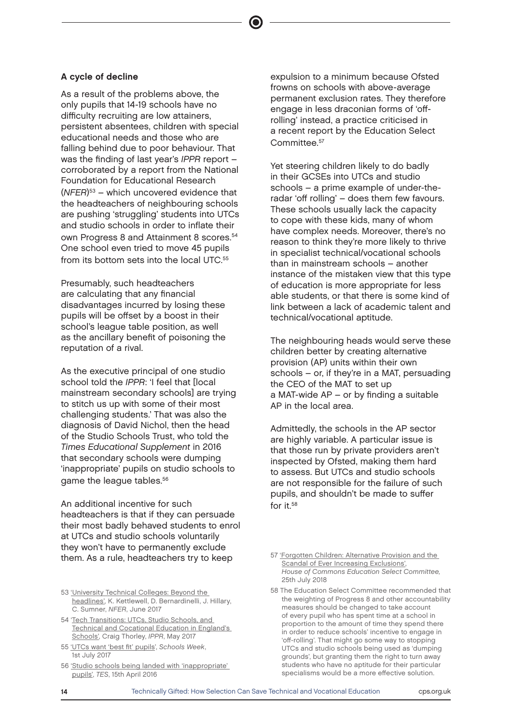#### A cycle of decline

As a result of the problems above, the only pupils that 14-19 schools have no difficulty recruiting are low attainers, persistent absentees, children with special educational needs and those who are falling behind due to poor behaviour. That was the finding of last year's IPPR report – corroborated by a report from the National Foundation for Educational Research (NFER) <sup>53</sup> – which uncovered evidence that the headteachers of neighbouring schools are pushing 'struggling' students into UTCs and studio schools in order to inflate their own Progress 8 and Attainment 8 scores.<sup>54</sup> One school even tried to move 45 pupils from its bottom sets into the local UTC.<sup>55</sup>

Presumably, such headteachers are calculating that any financial disadvantages incurred by losing these pupils will be offset by a boost in their school's league table position, as well as the ancillary benefit of poisoning the reputation of a rival.

As the executive principal of one studio school told the IPPR: 'I feel that [local mainstream secondary schools] are trying to stitch us up with some of their most challenging students.' That was also the diagnosis of David Nichol, then the head of the Studio Schools Trust, who told the Times Educational Supplement in 2016 that secondary schools were dumping 'inappropriate' pupils on studio schools to game the league tables.<sup>56</sup>

An additional incentive for such headteachers is that if they can persuade their most badly behaved students to enrol at UTCs and studio schools voluntarily they won't have to permanently exclude them. As a rule, headteachers try to keep

- 54 '[Tech Transitions: UTCs, Studio Schools, and](https://www.nuffieldfoundation.org/sites/default/files/files/Tech_transitions_May17.pdf)  [Technical and Cocational Education in England's](https://www.nuffieldfoundation.org/sites/default/files/files/Tech_transitions_May17.pdf)  [Schools'](https://www.nuffieldfoundation.org/sites/default/files/files/Tech_transitions_May17.pdf), Craig Thorley, IPPR, May 2017
- 55 ['UTCs want 'best fit' pupils](https://schoolsweek.co.uk/utcs-want-best-fit-pupils/)', Schools Week, 1st July 2017
- 56 ['Studio schools being landed with 'inappropriate'](https://www.tes.com/news/tes-magazine/tes-magazine/studio-schools-being-landed-inappropriate-pupils)  [pupils',](https://www.tes.com/news/tes-magazine/tes-magazine/studio-schools-being-landed-inappropriate-pupils) TES, 15th April 2016

expulsion to a minimum because Ofsted frowns on schools with above-average permanent exclusion rates. They therefore engage in less draconian forms of 'offrolling' instead, a practice criticised in a recent report by the Education Select Committee.<sup>57</sup>

Yet steering children likely to do badly in their GCSEs into UTCs and studio schools – a prime example of under-theradar 'off rolling' – does them few favours. These schools usually lack the capacity to cope with these kids, many of whom have complex needs. Moreover, there's no reason to think they're more likely to thrive in specialist technical/vocational schools than in mainstream schools – another instance of the mistaken view that this type of education is more appropriate for less able students, or that there is some kind of link between a lack of academic talent and technical/vocational aptitude.

The neighbouring heads would serve these children better by creating alternative provision (AP) units within their own schools – or, if they're in a MAT, persuading the CEO of the MAT to set up a MAT-wide AP – or by finding a suitable AP in the local area.

Admittedly, the schools in the AP sector are highly variable. A particular issue is that those run by private providers aren't inspected by Ofsted, making them hard to assess. But UTCs and studio schools are not responsible for the failure of such pupils, and shouldn't be made to suffer for it.58

<sup>53</sup> ['University Technical Colleges: Beyond the](https://www.nfer.ac.uk/media/1888/imsa01.pdf)  [headlines',](https://www.nfer.ac.uk/media/1888/imsa01.pdf) K. Kettlewell, D. Bernardinelli, J. Hillary, C. Sumner, NFER, June 2017

<sup>57</sup> ['Forgotten Children: Alternative Provision and the](https://publications.parliament.uk/pa/cm201719/cmselect/cmeduc/342/34202.htm)  [Scandal of Ever Increasing Exclusions'](https://publications.parliament.uk/pa/cm201719/cmselect/cmeduc/342/34202.htm), House of Commons Education Select Committee, 25th July 2018

<sup>58</sup> The Education Select Committee recommended that the weighting of Progress 8 and other accountability measures should be changed to take account of every pupil who has spent time at a school in proportion to the amount of time they spend there in order to reduce schools' incentive to engage in 'off-rolling'. That might go some way to stopping UTCs and studio schools being used as 'dumping grounds', but granting them the right to turn away students who have no aptitude for their particular specialisms would be a more effective solution.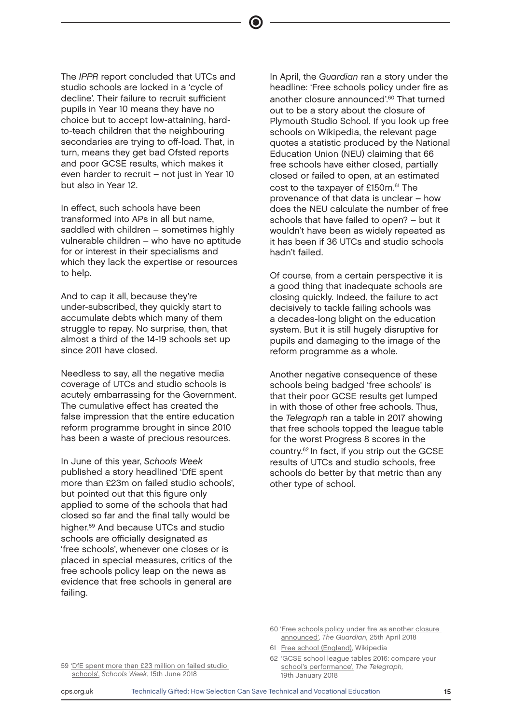The IPPR report concluded that UTCs and studio schools are locked in a 'cycle of decline'. Their failure to recruit sufficient pupils in Year 10 means they have no choice but to accept low-attaining, hardto-teach children that the neighbouring secondaries are trying to off-load. That, in turn, means they get bad Ofsted reports and poor GCSE results, which makes it even harder to recruit – not just in Year 10 but also in Year 12.

In effect, such schools have been transformed into APs in all but name, saddled with children – sometimes highly vulnerable children – who have no aptitude for or interest in their specialisms and which they lack the expertise or resources to help.

And to cap it all, because they're under-subscribed, they quickly start to accumulate debts which many of them struggle to repay. No surprise, then, that almost a third of the 14-19 schools set up since 2011 have closed.

Needless to say, all the negative media coverage of UTCs and studio schools is acutely embarrassing for the Government. The cumulative effect has created the false impression that the entire education reform programme brought in since 2010 has been a waste of precious resources.

In June of this year, Schools Week published a story headlined 'DfE spent more than £23m on failed studio schools', but pointed out that this figure only applied to some of the schools that had closed so far and the final tally would be higher.<sup>59</sup> And because UTCs and studio schools are officially designated as 'free schools', whenever one closes or is placed in special measures, critics of the free schools policy leap on the news as evidence that free schools in general are failing.

In April, the Guardian ran a story under the headline: 'Free schools policy under fire as another closure announced'.<sup>60</sup> That turned out to be a story about the closure of Plymouth Studio School. If you look up free schools on Wikipedia, the relevant page quotes a statistic produced by the National Education Union (NEU) claiming that 66 free schools have either closed, partially closed or failed to open, at an estimated cost to the taxpayer of £150m.<sup>61</sup> The provenance of that data is unclear – how does the NEU calculate the number of free schools that have failed to open? – but it wouldn't have been as widely repeated as it has been if 36 UTCs and studio schools hadn't failed.

Of course, from a certain perspective it is a good thing that inadequate schools are closing quickly. Indeed, the failure to act decisively to tackle failing schools was a decades-long blight on the education system. But it is still hugely disruptive for pupils and damaging to the image of the reform programme as a whole.

Another negative consequence of these schools being badged 'free schools' is that their poor GCSE results get lumped in with those of other free schools. Thus, the Telegraph ran a table in 2017 showing that free schools topped the league table for the worst Progress 8 scores in the country.<sup>62</sup> In fact, if you strip out the GCSE results of UTCs and studio schools, free schools do better by that metric than any other type of school.

- 60 ['Free schools policy under fire as another closure](https://www.theguardian.com/politics/2018/apr/25/free-schools-policy-under-fire-as-yet-another-closure-announced-plymouth)  [announced',](https://www.theguardian.com/politics/2018/apr/25/free-schools-policy-under-fire-as-yet-another-closure-announced-plymouth) The Guardian, 25th April 2018
- 61 [Free school \(England\)](https://en.wikipedia.org/wiki/Free_school_(England)), Wikipedia
- 62 ['GCSE school league tables 2016: compare your](https://www.telegraph.co.uk/education/2017/01/19/gcse-school-league-tables-2016-compare-schools-performance/)  [school's performance',](https://www.telegraph.co.uk/education/2017/01/19/gcse-school-league-tables-2016-compare-schools-performance/) The Telegraph, 19th January 2018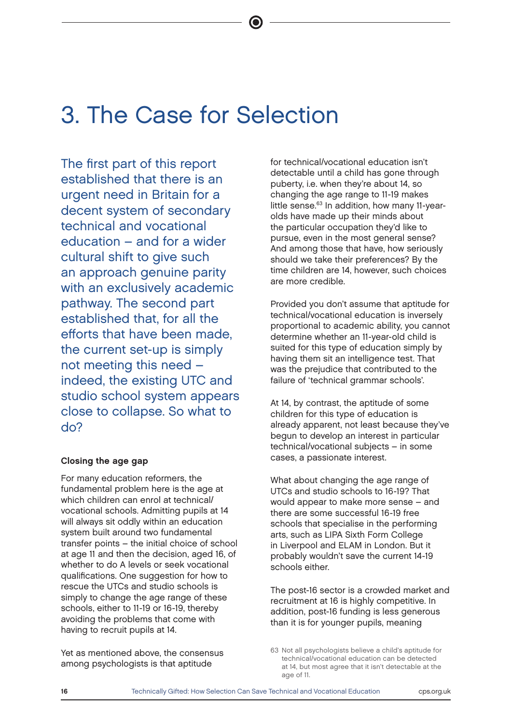## 3. The Case for Selection

The first part of this report established that there is an urgent need in Britain for a decent system of secondary technical and vocational education – and for a wider cultural shift to give such an approach genuine parity with an exclusively academic pathway. The second part established that, for all the efforts that have been made, the current set-up is simply not meeting this need – indeed, the existing UTC and studio school system appears close to collapse. So what to do?

#### Closing the age gap

For many education reformers, the fundamental problem here is the age at which children can enrol at technical/ vocational schools. Admitting pupils at 14 will always sit oddly within an education system built around two fundamental transfer points – the initial choice of school at age 11 and then the decision, aged 16, of whether to do A levels or seek vocational qualifications. One suggestion for how to rescue the UTCs and studio schools is simply to change the age range of these schools, either to 11-19 or 16-19, thereby avoiding the problems that come with having to recruit pupils at 14.

Yet as mentioned above, the consensus among psychologists is that aptitude

for technical/vocational education isn't detectable until a child has gone through puberty, i.e. when they're about 14, so changing the age range to 11-19 makes little sense.<sup>63</sup> In addition, how many 11-yearolds have made up their minds about the particular occupation they'd like to pursue, even in the most general sense? And among those that have, how seriously should we take their preferences? By the time children are 14, however, such choices are more credible.

Provided you don't assume that aptitude for technical/vocational education is inversely proportional to academic ability, you cannot determine whether an 11-year-old child is suited for this type of education simply by having them sit an intelligence test. That was the prejudice that contributed to the failure of 'technical grammar schools'.

At 14, by contrast, the aptitude of some children for this type of education is already apparent, not least because they've begun to develop an interest in particular technical/vocational subjects – in some cases, a passionate interest.

What about changing the age range of UTCs and studio schools to 16-19? That would appear to make more sense – and there are some successful 16-19 free schools that specialise in the performing arts, such as LIPA Sixth Form College in Liverpool and ELAM in London. But it probably wouldn't save the current 14-19 schools either.

The post-16 sector is a crowded market and recruitment at 16 is highly competitive. In addition, post-16 funding is less generous than it is for younger pupils, meaning

<sup>63</sup> Not all psychologists believe a child's aptitude for technical/vocational education can be detected at 14, but most agree that it isn't detectable at the age of 11.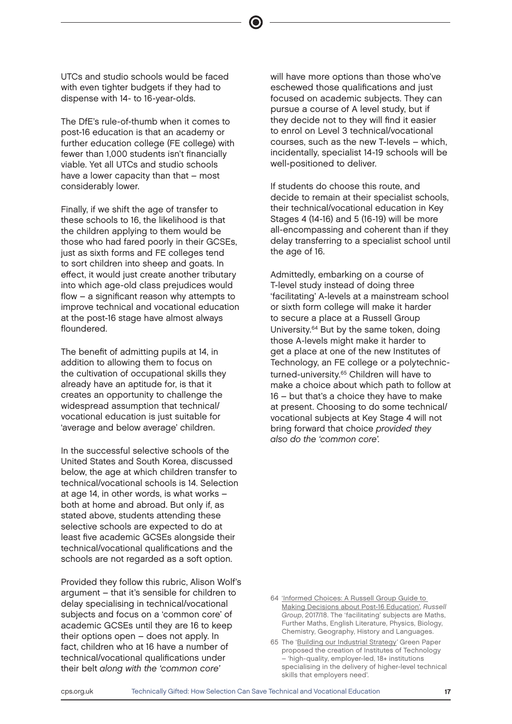UTCs and studio schools would be faced with even tighter budgets if they had to dispense with 14- to 16-year-olds.

The DfE's rule-of-thumb when it comes to post-16 education is that an academy or further education college (FE college) with fewer than 1,000 students isn't financially viable. Yet all UTCs and studio schools have a lower capacity than that – most considerably lower.

Finally, if we shift the age of transfer to these schools to 16, the likelihood is that the children applying to them would be those who had fared poorly in their GCSEs, just as sixth forms and FE colleges tend to sort children into sheep and goats. In effect, it would just create another tributary into which age-old class prejudices would flow – a significant reason why attempts to improve technical and vocational education at the post-16 stage have almost always floundered.

The benefit of admitting pupils at 14, in addition to allowing them to focus on the cultivation of occupational skills they already have an aptitude for, is that it creates an opportunity to challenge the widespread assumption that technical/ vocational education is just suitable for 'average and below average' children.

In the successful selective schools of the United States and South Korea, discussed below, the age at which children transfer to technical/vocational schools is 14. Selection at age 14, in other words, is what works – both at home and abroad. But only if, as stated above, students attending these selective schools are expected to do at least five academic GCSEs alongside their technical/vocational qualifications and the schools are not regarded as a soft option.

Provided they follow this rubric, Alison Wolf's argument – that it's sensible for children to delay specialising in technical/vocational subjects and focus on a 'common core' of academic GCSEs until they are 16 to keep their options open – does not apply. In fact, children who at 16 have a number of technical/vocational qualifications under their belt along with the 'common core'

will have more options than those who've eschewed those qualifications and just focused on academic subjects. They can pursue a course of A level study, but if they decide not to they will find it easier to enrol on Level 3 technical/vocational courses, such as the new T-levels – which, incidentally, specialist 14-19 schools will be well-positioned to deliver.

If students do choose this route, and decide to remain at their specialist schools, their technical/vocational education in Key Stages 4 (14-16) and 5 (16-19) will be more all-encompassing and coherent than if they delay transferring to a specialist school until the age of 16.

Admittedly, embarking on a course of T-level study instead of doing three 'facilitating' A-levels at a mainstream school or sixth form college will make it harder to secure a place at a Russell Group University.<sup>64</sup> But by the same token, doing those A-levels might make it harder to get a place at one of the new Institutes of Technology, an FE college or a polytechnicturned-university.<sup>65</sup> Children will have to make a choice about which path to follow at 16 – but that's a choice they have to make at present. Choosing to do some technical/ vocational subjects at Key Stage 4 will not bring forward that choice provided they also do the 'common core'.

<sup>64</sup> ['Informed Choices: A Russell Group Guide to](https://www.russellgroup.ac.uk/media/5686/informed-choices-2018-1-6th-edition-final.pdf)  [Making Decisions about Post-16 Education'](https://www.russellgroup.ac.uk/media/5686/informed-choices-2018-1-6th-edition-final.pdf), Russell Group, 2017/18. The 'facilitating' subjects are Maths, Further Maths, English Literature, Physics, Biology, Chemistry, Geography, History and Languages.

<sup>65</sup> The '[Building our Industrial Strategy](https://beisgovuk.citizenspace.com/strategy/industrial-strategy/supporting_documents/buildingourindustrialstrategygreenpaper.pdf)' Green Paper proposed the creation of Institutes of Technology – 'high-quality, employer-led, 18+ institutions specialising in the delivery of higher-level technical skills that employers need'.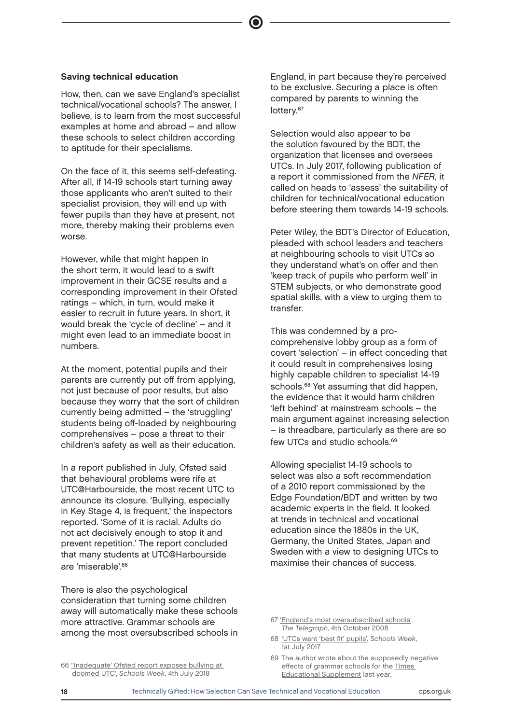#### Saving technical education

How, then, can we save England's specialist technical/vocational schools? The answer, I believe, is to learn from the most successful examples at home and abroad – and allow these schools to select children according to aptitude for their specialisms.

On the face of it, this seems self-defeating. After all, if 14-19 schools start turning away those applicants who aren't suited to their specialist provision, they will end up with fewer pupils than they have at present, not more, thereby making their problems even worse.

However, while that might happen in the short term, it would lead to a swift improvement in their GCSE results and a corresponding improvement in their Ofsted ratings – which, in turn, would make it easier to recruit in future years. In short, it would break the 'cycle of decline' – and it might even lead to an immediate boost in numbers.

At the moment, potential pupils and their parents are currently put off from applying, not just because of poor results, but also because they worry that the sort of children currently being admitted – the 'struggling' students being off-loaded by neighbouring comprehensives – pose a threat to their children's safety as well as their education.

In a report published in July, Ofsted said that behavioural problems were rife at UTC@Harbourside, the most recent UTC to announce its closure. 'Bullying, especially in Key Stage 4, is frequent,' the inspectors reported. 'Some of it is racial. Adults do not act decisively enough to stop it and prevent repetition.' The report concluded that many students at UTC@Harbourside are 'miserable'.<sup>66</sup>

There is also the psychological consideration that turning some children away will automatically make these schools more attractive. Grammar schools are among the most oversubscribed schools in

England, in part because they're perceived to be exclusive. Securing a place is often compared by parents to winning the lottery.<sup>67</sup>

Selection would also appear to be the solution favoured by the BDT, the organization that licenses and oversees UTCs. In July 2017, following publication of a report it commissioned from the NFER, it called on heads to 'assess' the suitability of children for technical/vocational education before steering them towards 14-19 schools.

Peter Wiley, the BDT's Director of Education, pleaded with school leaders and teachers at neighbouring schools to visit UTCs so they understand what's on offer and then 'keep track of pupils who perform well' in STEM subjects, or who demonstrate good spatial skills, with a view to urging them to transfer.

This was condemned by a procomprehensive lobby group as a form of covert 'selection' – in effect conceding that it could result in comprehensives losing highly capable children to specialist 14-19 schools.<sup>68</sup> Yet assuming that did happen, the evidence that it would harm children 'left behind' at mainstream schools – the main argument against increasing selection – is threadbare, particularly as there are so few UTCs and studio schools.<sup>69</sup>

Allowing specialist 14-19 schools to select was also a soft recommendation of a 2010 report commissioned by the Edge Foundation/BDT and written by two academic experts in the field. It looked at trends in technical and vocational education since the 1880s in the UK, Germany, the United States, Japan and Sweden with a view to designing UTCs to maximise their chances of success.

- 68 ['UTCs want 'best fit' pupils',](https://schoolsweek.co.uk/utcs-want-best-fit-pupils/) Schools Week, 1st July 2017
- 69 The author wrote about the supposedly negative effects of grammar schools for the T[imes](https://www.tes.com/news/there-case-more-grammars-instead-lets-create-more-comps-grammar-school-curricula)  [Educational Supplement](https://www.tes.com/news/there-case-more-grammars-instead-lets-create-more-comps-grammar-school-curricula) last year.

<sup>67</sup> ['England's most oversubscribed schools'](https://www.telegraph.co.uk/education/secondaryeducation/3136659/Englands-most-oversubscribed-schools.html), The Telegraph, 4th October 2008

<sup>66</sup> [''Inadequate' Ofsted report exposes bullying at](https://schoolsweek.co.uk/inadequate-ofsted-report-exposes-bullying-at-doomed-utc/)  [doomed UTC',](https://schoolsweek.co.uk/inadequate-ofsted-report-exposes-bullying-at-doomed-utc/) Schools Week, 4th July 2018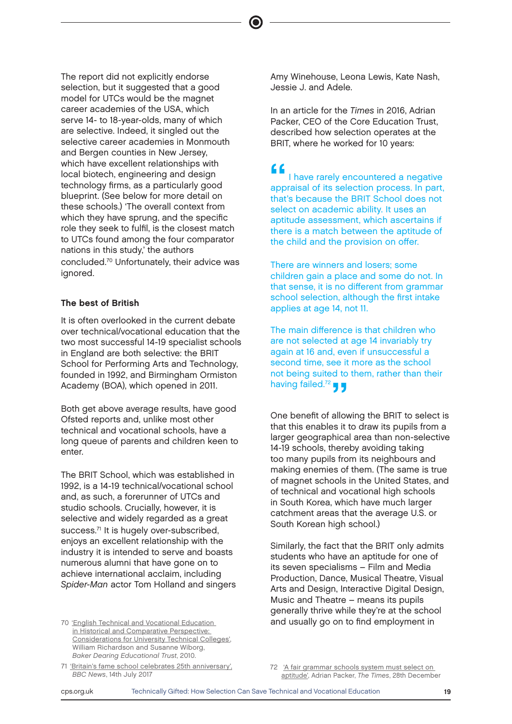The report did not explicitly endorse selection, but it suggested that a good model for UTCs would be the magnet career academies of the USA, which serve 14- to 18-year-olds, many of which are selective. Indeed, it singled out the selective career academies in Monmouth and Bergen counties in New Jersey, which have excellent relationships with local biotech, engineering and design technology firms, as a particularly good blueprint. (See below for more detail on these schools.) 'The overall context from which they have sprung, and the specific role they seek to fulfil, is the closest match to UTCs found among the four comparator nations in this study,' the authors concluded.<sup>70</sup> Unfortunately, their advice was ignored.

#### The best of British

It is often overlooked in the current debate over technical/vocational education that the two most successful 14-19 specialist schools in England are both selective: the BRIT School for Performing Arts and Technology, founded in 1992, and Birmingham Ormiston Academy (BOA), which opened in 2011.

Both get above average results, have good Ofsted reports and, unlike most other technical and vocational schools, have a long queue of parents and children keen to enter.

The BRIT School, which was established in 1992, is a 14-19 technical/vocational school and, as such, a forerunner of UTCs and studio schools. Crucially, however, it is selective and widely regarded as a great success.<sup>71</sup> It is hugely over-subscribed, enjoys an excellent relationship with the industry it is intended to serve and boasts numerous alumni that have gone on to achieve international acclaim, including Spider-Man actor Tom Holland and singers

[in Historical and Comparative Perspective:](http://www.cea.org.uk/files/2513/6795/8000/UTCDoc.pdf)  [Considerations for University Technical Colleges'](http://www.cea.org.uk/files/2513/6795/8000/UTCDoc.pdf), William Richardson and Susanne Wiborg, Baker Dearing Educational Trust, 2010.

71 ['Britain's fame school celebrates 25th anniversary',](https://www.bbc.co.uk/news/uk-england-london-40586369) BBC News, 14th July 2017

Amy Winehouse, Leona Lewis, Kate Nash, Jessie J. and Adele.

In an article for the Times in 2016, Adrian Packer, CEO of the Core Education Trust, described how selection operates at the BRIT, where he worked for 10 years:

" I have rarely encountered a negative appraisal of its selection process. In part, that's because the BRIT School does not select on academic ability. It uses an aptitude assessment, which ascertains if there is a match between the aptitude of the child and the provision on offer.

There are winners and losers; some children gain a place and some do not. In that sense, it is no different from grammar school selection, although the first intake applies at age 14, not 11.

The main difference is that children who are not selected at age 14 invariably try again at 16 and, even if unsuccessful a second time, see it more as the school not being suited to them, rather than their having failed.<sup>72</sup>  $\blacksquare$ 

One benefit of allowing the BRIT to select is that this enables it to draw its pupils from a larger geographical area than non-selective 14-19 schools, thereby avoiding taking too many pupils from its neighbours and making enemies of them. (The same is true of magnet schools in the United States, and of technical and vocational high schools in South Korea, which have much larger catchment areas that the average U.S. or South Korean high school.)

Similarly, the fact that the BRIT only admits students who have an aptitude for one of its seven specialisms – Film and Media Production, Dance, Musical Theatre, Visual Arts and Design, Interactive Digital Design, Music and Theatre – means its pupils generally thrive while they're at the school 70 ['English Technical and Vocational Education](http://www.cea.org.uk/files/2513/6795/8000/UTCDoc.pdf) **and usually go on to find employment in** 

> 72 'A fair grammar schools system must select on [aptitude'](https://www.thetimes.co.uk/article/a-fair-grammar-school-system-must-select-on-aptitude-qgf7rfzpt), Adrian Packer, The Times, 28th December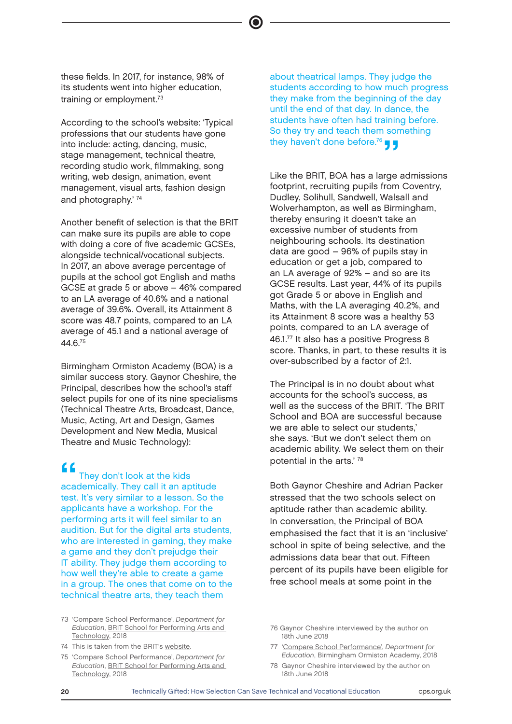these fields. In 2017, for instance, 98% of its students went into higher education, training or employment.<sup>73</sup>

According to the school's website: 'Typical professions that our students have gone into include: acting, dancing, music, stage management, technical theatre, recording studio work, filmmaking, song writing, web design, animation, event management, visual arts, fashion design and photography.' <sup>74</sup>

Another benefit of selection is that the BRIT can make sure its pupils are able to cope with doing a core of five academic GCSEs, alongside technical/vocational subjects. In 2017, an above average percentage of pupils at the school got English and maths GCSE at grade 5 or above – 46% compared to an LA average of 40.6% and a national average of 39.6%. Overall, its Attainment 8 score was 48.7 points, compared to an LA average of 45.1 and a national average of 44.6.<sup>75</sup>

Birmingham Ormiston Academy (BOA) is a similar success story. Gaynor Cheshire, the Principal, describes how the school's staff select pupils for one of its nine specialisms (Technical Theatre Arts, Broadcast, Dance, Music, Acting, Art and Design, Games Development and New Media, Musical Theatre and Music Technology):

**11**<br>
They don't look at the kids<br>
academically. They call it an aptitude<br>
toot like vary similar to a loosen So the They don't look at the kids test. It's very similar to a lesson. So the applicants have a workshop. For the performing arts it will feel similar to an audition. But for the digital arts students, who are interested in gaming, they make a game and they don't prejudge their IT ability. They judge them according to how well they're able to create a game in a group. The ones that come on to the technical theatre arts, they teach them

- 73 'Compare School Performance', Department for Education, [BRIT School for Performing Arts and](https://www.compare-school-performance.service.gov.uk/school/101849/brit-school-for-performing-arts-and-technology)  [Technology](https://www.compare-school-performance.service.gov.uk/school/101849/brit-school-for-performing-arts-and-technology), 2018
- 74 This is taken from the BRIT's [website.](https://www.brit.croydon.sch.uk)
- 75 'Compare School Performance', Department for Education, [BRIT School for Performing Arts and](https://www.compare-school-performance.service.gov.uk/school/101849/brit-school-for-performing-arts-and-technology)  [Technology](https://www.compare-school-performance.service.gov.uk/school/101849/brit-school-for-performing-arts-and-technology), 2018

about theatrical lamps. They judge the students according to how much progress they make from the beginning of the day until the end of that day. In dance, the students have often had training before. So they try and teach them something they haven't done before.<sup>76</sup>  $\blacksquare$ 

Like the BRIT, BOA has a large admissions footprint, recruiting pupils from Coventry, Dudley, Solihull, Sandwell, Walsall and Wolverhampton, as well as Birmingham, thereby ensuring it doesn't take an excessive number of students from neighbouring schools. Its destination data are good – 96% of pupils stay in education or get a job, compared to an LA average of 92% – and so are its GCSE results. Last year, 44% of its pupils got Grade 5 or above in English and Maths, with the LA averaging 40.2%, and its Attainment 8 score was a healthy 53 points, compared to an LA average of 46.1.<sup>77</sup> It also has a positive Progress 8 score. Thanks, in part, to these results it is over-subscribed by a factor of 2:1.

The Principal is in no doubt about what accounts for the school's success, as well as the success of the BRIT. 'The BRIT School and BOA are successful because we are able to select our students,' she says. 'But we don't select them on academic ability. We select them on their potential in the arts.' <sup>78</sup>

Both Gaynor Cheshire and Adrian Packer stressed that the two schools select on aptitude rather than academic ability. In conversation, the Principal of BOA emphasised the fact that it is an 'inclusive' school in spite of being selective, and the admissions data bear that out. Fifteen percent of its pupils have been eligible for free school meals at some point in the

- 76 Gaynor Cheshire interviewed by the author on 18th June 2018
- 77 ['Compare School Performance'](https://www.compare-school-performance.service.gov.uk/school/136944/birmingham-ormiston-academy), Department for Education, Birmingham Ormiston Academy, 2018
- 78 Gaynor Cheshire interviewed by the author on 18th June 2018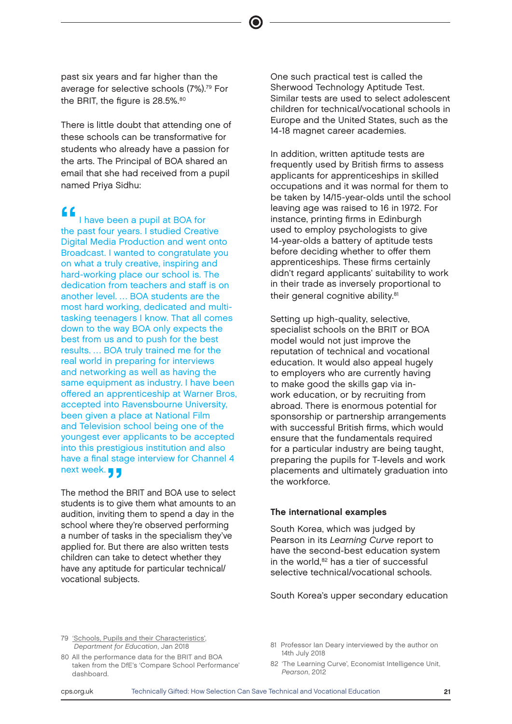past six years and far higher than the average for selective schools (7%).<sup>79</sup> For the BRIT, the figure is 28.5%.<sup>80</sup>

There is little doubt that attending one of these schools can be transformative for students who already have a passion for the arts. The Principal of BOA shared an email that she had received from a pupil named Priya Sidhu:

f f<br>
I have been a pupil at BOA for<br>
the past four years. I studied Creative<br>
Digital Madia Praduction and want and I have been a pupil at BOA for Digital Media Production and went onto Broadcast. I wanted to congratulate you on what a truly creative, inspiring and hard-working place our school is. The dedication from teachers and staff is on another level. … BOA students are the most hard working, dedicated and multitasking teenagers I know. That all comes down to the way BOA only expects the best from us and to push for the best results. … BOA truly trained me for the real world in preparing for interviews and networking as well as having the same equipment as industry. I have been offered an apprenticeship at Warner Bros, accepted into Ravensbourne University, been given a place at National Film and Television school being one of the youngest ever applicants to be accepted into this prestigious institution and also have a final stage interview for Channel 4

next week.<br>The method the<br>students is to a The method the BRIT and BOA use to select students is to give them what amounts to an audition, inviting them to spend a day in the school where they're observed performing a number of tasks in the specialism they've applied for. But there are also written tests children can take to detect whether they have any aptitude for particular technical/ vocational subjects.

One such practical test is called the Sherwood Technology Aptitude Test. Similar tests are used to select adolescent children for technical/vocational schools in Europe and the United States, such as the 14-18 magnet career academies.

In addition, written aptitude tests are frequently used by British firms to assess applicants for apprenticeships in skilled occupations and it was normal for them to be taken by 14/15-year-olds until the school leaving age was raised to 16 in 1972. For instance, printing firms in Edinburgh used to employ psychologists to give 14-year-olds a battery of aptitude tests before deciding whether to offer them apprenticeships. These firms certainly didn't regard applicants' suitability to work in their trade as inversely proportional to their general cognitive ability.<sup>81</sup>

Setting up high-quality, selective, specialist schools on the BRIT or BOA model would not just improve the reputation of technical and vocational education. It would also appeal hugely to employers who are currently having to make good the skills gap via inwork education, or by recruiting from abroad. There is enormous potential for sponsorship or partnership arrangements with successful British firms, which would ensure that the fundamentals required for a particular industry are being taught, preparing the pupils for T-levels and work placements and ultimately graduation into the workforce.

#### The international examples

South Korea, which was judged by Pearson in its Learning Curve report to have the second-best education system in the world,<sup>82</sup> has a tier of successful selective technical/vocational schools.

South Korea's upper secondary education

79 ['Schools, Pupils and their Characteristics',](https://assets.publishing.service.gov.uk/government/uploads/system/uploads/attachment_data/file/719226/Schools_Pupils_and_their_Characteristics_2018_Main_Text.pdf) Department for Education, Jan 2018

- 80 All the performance data for the BRIT and BOA taken from the DfE's 'Compare School Performance' dashboard.
- 81 Professor Ian Deary interviewed by the author on 14th July 2018
- 82 'The Learning Curve', Economist Intelligence Unit, Pearson, 2012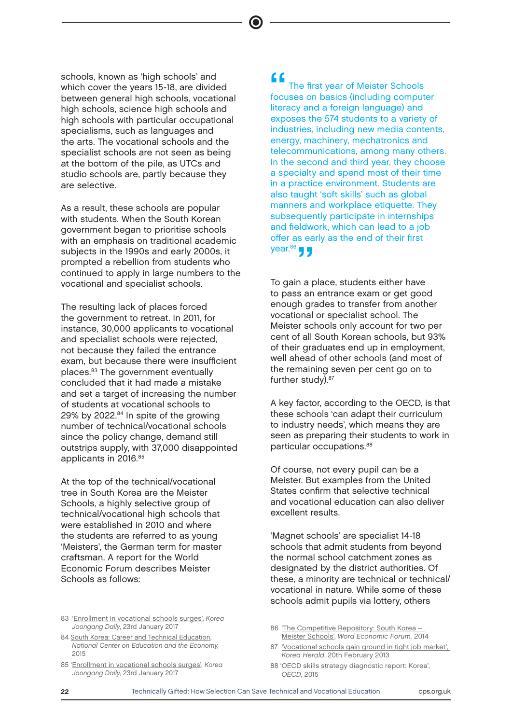schools, known as 'high schools' and which cover the years 15-18, are divided between general high schools, vocational high schools, science high schools and high schools with particular occupational specialisms, such as languages and the arts. The vocational schools and the specialist schools are not seen as being at the bottom of the pile, as UTCs and studio schools are, partly because they are selective.

As a result, these schools are popular with students. When the South Korean government began to prioritise schools with an emphasis on traditional academic subjects in the 1990s and early 2000s, it prompted a rebellion from students who continued to apply in large numbers to the vocational and specialist schools.

The resulting lack of places forced the government to retreat. In 2011, for instance, 30,000 applicants to vocational and specialist schools were rejected, not because they failed the entrance exam, but because there were insufficient places.<sup>83</sup> The government eventually concluded that it had made a mistake and set a target of increasing the number of students at vocational schools to 29% by 2022.<sup>84</sup> In spite of the growing number of technical/vocational schools since the policy change, demand still outstrips supply, with 37,000 disappointed applicants in 2016.<sup>85</sup>

At the top of the technical/vocational tree in South Korea are the Meister Schools, a highly selective group of technical/vocational high schools that were established in 2010 and where the students are referred to as young 'Meisters', the German term for master craftsman. A report for the World Economic Forum describes Meister Schools as follows:

**focuses on basics (including computer)**<br>
focuses on basics (including computer) The first year of Meister Schools literacy and a foreign language) and exposes the 574 students to a variety of industries, including new media contents, energy, machinery, mechatronics and telecommunications, among many others. In the second and third year, they choose a specialty and spend most of their time in a practice environment. Students are also taught 'soft skills' such as global manners and workplace etiquette. They subsequently participate in internships and fieldwork, which can lead to a job offer as early as the end of their first  $year<sup>86</sup>$  ,  $\blacksquare$ 

To gain a place, students either have to pass an entrance exam or get good enough grades to transfer from another vocational or specialist school. The Meister schools only account for two per cent of all South Korean schools, but 93% of their graduates end up in employment, well ahead of other schools (and most of the remaining seven per cent go on to further study).<sup>87</sup>

A key factor, according to the OECD, is that these schools 'can adapt their curriculum to industry needs', which means they are seen as preparing their students to work in particular occupations.<sup>88</sup>

Of course, not every pupil can be a Meister. But examples from the United States confirm that selective technical and vocational education can also deliver excellent results.

'Magnet schools' are specialist 14-18 schools that admit students from beyond the normal school catchment zones as designated by the district authorities. Of these, a minority are technical or technical/ vocational in nature. While some of these schools admit pupils via lottery, others

- 86 ['The Competitive Repository: South Korea](http://www3.weforum.org/docs/WEF_2014_South_Korea.pdf)  [Meister Schools',](http://www3.weforum.org/docs/WEF_2014_South_Korea.pdf) Word Economic Forum, 2014
- 87 'Vocational schools gain ground in tight job market'. Korea Herald, 20th February 2013
- 88 'OECD skills strategy diagnostic report: Korea', OECD, 2015

<sup>83 &#</sup>x27;Enrollment in vocational schools surges', Korea Joongang Daily, 23rd January 2017

<sup>84</sup> [South Korea: Career and Technical Education,](http://ncee.org/what-we-do/center-on-international-education-benchmarking/top-performing-countries/south-korea-overview/south-korea-school-to-work-transition/)  [National Center on Education and the Economy,](http://ncee.org/what-we-do/center-on-international-education-benchmarking/top-performing-countries/south-korea-overview/south-korea-school-to-work-transition/)  [2015](http://ncee.org/what-we-do/center-on-international-education-benchmarking/top-performing-countries/south-korea-overview/south-korea-school-to-work-transition/)

<sup>85 &#</sup>x27;Enrollment in vocational schools surges', Korea Joongang Daily, 23rd January 2017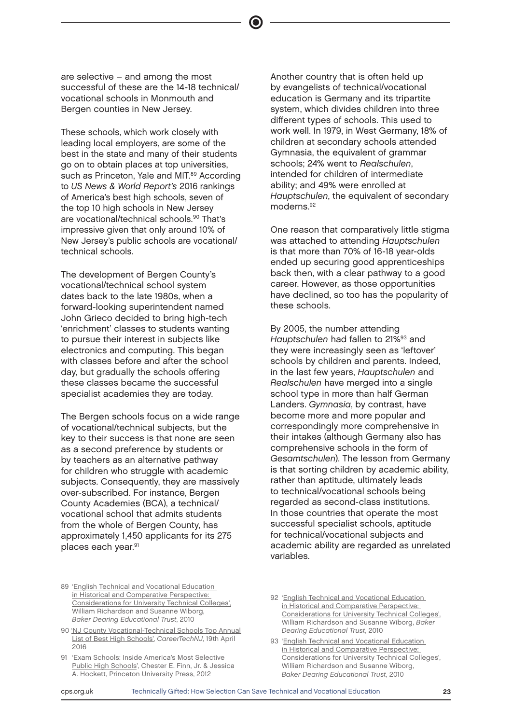are selective – and among the most successful of these are the 14-18 technical/ vocational schools in Monmouth and Bergen counties in New Jersey.

These schools, which work closely with leading local employers, are some of the best in the state and many of their students go on to obtain places at top universities, such as Princeton, Yale and MIT.<sup>89</sup> According to US News & World Report's 2016 rankings of America's best high schools, seven of the top 10 high schools in New Jersey are vocational/technical schools.<sup>90</sup> That's impressive given that only around 10% of New Jersey's public schools are vocational/ technical schools.

The development of Bergen County's vocational/technical school system dates back to the late 1980s, when a forward-looking superintendent named John Grieco decided to bring high-tech 'enrichment' classes to students wanting to pursue their interest in subjects like electronics and computing. This began with classes before and after the school day, but gradually the schools offering these classes became the successful specialist academies they are today.

The Bergen schools focus on a wide range of vocational/technical subjects, but the key to their success is that none are seen as a second preference by students or by teachers as an alternative pathway for children who struggle with academic subjects. Consequently, they are massively over-subscribed. For instance, Bergen County Academies (BCA), a technical/ vocational school that admits students from the whole of Bergen County, has approximately 1,450 applicants for its 275 places each year.<sup>91</sup>

Another country that is often held up by evangelists of technical/vocational education is Germany and its tripartite system, which divides children into three different types of schools. This used to work well. In 1979, in West Germany, 18% of children at secondary schools attended Gymnasia, the equivalent of grammar schools; 24% went to Realschulen, intended for children of intermediate ability; and 49% were enrolled at Hauptschulen, the equivalent of secondary moderns.<sup>92</sup>

One reason that comparatively little stigma was attached to attending Hauptschulen is that more than 70% of 16-18 year-olds ended up securing good apprenticeships back then, with a clear pathway to a good career. However, as those opportunities have declined, so too has the popularity of these schools.

By 2005, the number attending Hauptschulen had fallen to 21%<sup>93</sup> and they were increasingly seen as 'leftover' schools by children and parents. Indeed, in the last few years, Hauptschulen and Realschulen have merged into a single school type in more than half German Landers. Gymnasia, by contrast, have become more and more popular and correspondingly more comprehensive in their intakes (although Germany also has comprehensive schools in the form of Gesamtschulen). The lesson from Germany is that sorting children by academic ability, rather than aptitude, ultimately leads to technical/vocational schools being regarded as second-class institutions. In those countries that operate the most successful specialist schools, aptitude for technical/vocational subjects and academic ability are regarded as unrelated variables.

- 89 '[English Technical and Vocational Education](http://www.cea.org.uk/files/2513/6795/8000/UTCDoc.pdf)  [in Historical and Comparative Perspective:](http://www.cea.org.uk/files/2513/6795/8000/UTCDoc.pdf)  [Considerations for University Technical Colleges',](http://www.cea.org.uk/files/2513/6795/8000/UTCDoc.pdf)  William Richardson and Susanne Wiborg, Baker Dearing Educational Trust, 2010
- 90 ['NJ County Vocational-Technical Schools Top Annual](https://www.careertechnj.org/news/nj-county-vocational-technical-schools-top-annual-list-of-best-high-schools/)  [List of Best High Schools',](https://www.careertechnj.org/news/nj-county-vocational-technical-schools-top-annual-list-of-best-high-schools/) CareerTechNJ, 19th April 2016
- 91 '[Exam Schools: Inside America's Most Selective](https://www.amazon.co.uk/Exam-Schools-Inside-Americas-Selective/dp/0691156670)  [Public High Schools](https://www.amazon.co.uk/Exam-Schools-Inside-Americas-Selective/dp/0691156670)', Chester E. Finn, Jr. & Jessica A. Hockett, Princeton University Press, 2012
- 92 ['English Technical and Vocational Education](http://www.cea.org.uk/files/2513/6795/8000/UTCDoc.pdf)  [in Historical and Comparative Perspective:](http://www.cea.org.uk/files/2513/6795/8000/UTCDoc.pdf)  [Considerations for University Technical Colleges',](http://www.cea.org.uk/files/2513/6795/8000/UTCDoc.pdf) William Richardson and Susanne Wiborg, Baker Dearing Educational Trust, 2010
- 93 ['English Technical and Vocational Education](http://www.cea.org.uk/files/2513/6795/8000/UTCDoc.pdf)  [in Historical and Comparative Perspective:](http://www.cea.org.uk/files/2513/6795/8000/UTCDoc.pdf)  [Considerations for University Technical Colleges',](http://www.cea.org.uk/files/2513/6795/8000/UTCDoc.pdf) William Richardson and Susanne Wiborg, Baker Dearing Educational Trust, 2010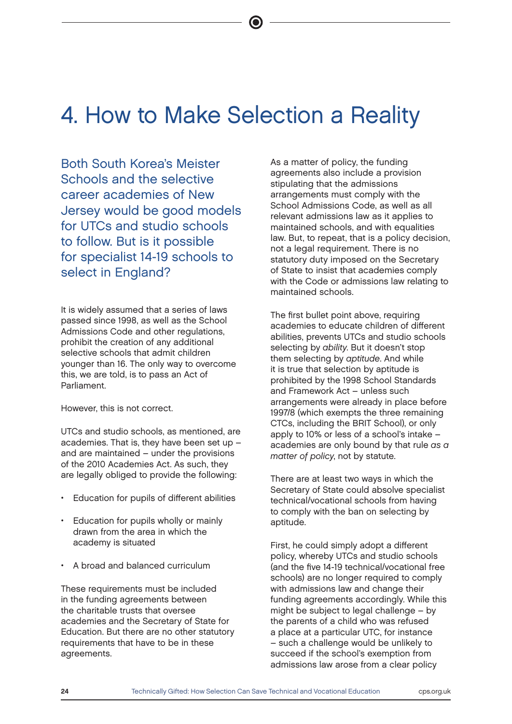## 4. How to Make Selection a Reality

Both South Korea's Meister Schools and the selective career academies of New Jersey would be good models for UTCs and studio schools to follow. But is it possible for specialist 14-19 schools to select in England?

It is widely assumed that a series of laws passed since 1998, as well as the School Admissions Code and other regulations, prohibit the creation of any additional selective schools that admit children younger than 16. The only way to overcome this, we are told, is to pass an Act of Parliament.

However, this is not correct.

UTCs and studio schools, as mentioned, are academies. That is, they have been set up – and are maintained – under the provisions of the 2010 Academies Act. As such, they are legally obliged to provide the following:

- Education for pupils of different abilities
- Education for pupils wholly or mainly drawn from the area in which the academy is situated
- A broad and balanced curriculum

These requirements must be included in the funding agreements between the charitable trusts that oversee academies and the Secretary of State for Education. But there are no other statutory requirements that have to be in these agreements.

As a matter of policy, the funding agreements also include a provision stipulating that the admissions arrangements must comply with the School Admissions Code, as well as all relevant admissions law as it applies to maintained schools, and with equalities law. But, to repeat, that is a policy decision, not a legal requirement. There is no statutory duty imposed on the Secretary of State to insist that academies comply with the Code or admissions law relating to maintained schools.

The first bullet point above, requiring academies to educate children of different abilities, prevents UTCs and studio schools selecting by ability. But it doesn't stop them selecting by aptitude. And while it is true that selection by aptitude is prohibited by the 1998 School Standards and Framework Act – unless such arrangements were already in place before 1997/8 (which exempts the three remaining CTCs, including the BRIT School), or only apply to 10% or less of a school's intake – academies are only bound by that rule as a matter of policy, not by statute.

There are at least two ways in which the Secretary of State could absolve specialist technical/vocational schools from having to comply with the ban on selecting by aptitude.

First, he could simply adopt a different policy, whereby UTCs and studio schools (and the five 14-19 technical/vocational free schools) are no longer required to comply with admissions law and change their funding agreements accordingly. While this might be subject to legal challenge – by the parents of a child who was refused a place at a particular UTC, for instance – such a challenge would be unlikely to succeed if the school's exemption from admissions law arose from a clear policy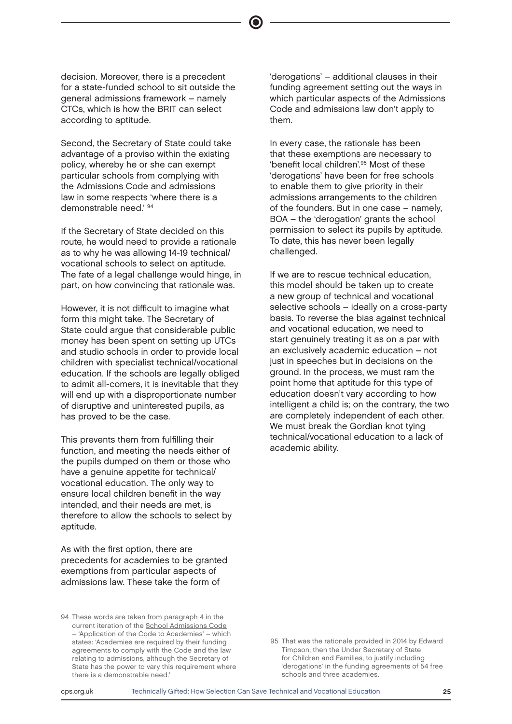decision. Moreover, there is a precedent for a state-funded school to sit outside the general admissions framework – namely CTCs, which is how the BRIT can select according to aptitude.

Second, the Secretary of State could take advantage of a proviso within the existing policy, whereby he or she can exempt particular schools from complying with the Admissions Code and admissions law in some respects 'where there is a demonstrable need.' <sup>94</sup>

If the Secretary of State decided on this route, he would need to provide a rationale as to why he was allowing 14-19 technical/ vocational schools to select on aptitude. The fate of a legal challenge would hinge, in part, on how convincing that rationale was.

However, it is not difficult to imagine what form this might take. The Secretary of State could argue that considerable public money has been spent on setting up UTCs and studio schools in order to provide local children with specialist technical/vocational education. If the schools are legally obliged to admit all-comers, it is inevitable that they will end up with a disproportionate number of disruptive and uninterested pupils, as has proved to be the case.

This prevents them from fulfilling their function, and meeting the needs either of the pupils dumped on them or those who have a genuine appetite for technical/ vocational education. The only way to ensure local children benefit in the way intended, and their needs are met, is therefore to allow the schools to select by aptitude.

As with the first option, there are precedents for academies to be granted exemptions from particular aspects of admissions law. These take the form of

94 These words are taken from paragraph 4 in the current iteration of the [School Admissions Code](https://assets.publishing.service.gov.uk/government/uploads/system/uploads/attachment_data/file/389388/School_Admissions_Code_2014_-_19_Dec.pdf) – 'Application of the Code to Academies' – which states: 'Academies are required by their funding agreements to comply with the Code and the law relating to admissions, although the Secretary of State has the power to vary this requirement where there is a demonstrable need.'

'derogations' – additional clauses in their funding agreement setting out the ways in which particular aspects of the Admissions Code and admissions law don't apply to them.

In every case, the rationale has been that these exemptions are necessary to 'benefit local children'.<sup>95</sup> Most of these 'derogations' have been for free schools to enable them to give priority in their admissions arrangements to the children of the founders. But in one case – namely, BOA – the 'derogation' grants the school permission to select its pupils by aptitude. To date, this has never been legally challenged.

If we are to rescue technical education, this model should be taken up to create a new group of technical and vocational selective schools – ideally on a cross-party basis. To reverse the bias against technical and vocational education, we need to start genuinely treating it as on a par with an exclusively academic education – not just in speeches but in decisions on the ground. In the process, we must ram the point home that aptitude for this type of education doesn't vary according to how intelligent a child is; on the contrary, the two are completely independent of each other. We must break the Gordian knot tying technical/vocational education to a lack of academic ability.

<sup>95</sup> That was the rationale provided in 2014 by Edward Timpson, then the Under Secretary of State for Children and Families, to justify including 'derogations' in the funding agreements of 54 free schools and three academies.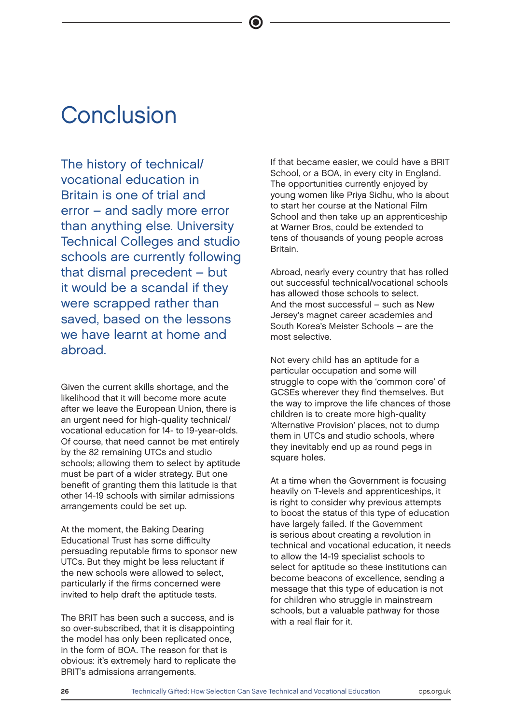### **Conclusion**

The history of technical/ vocational education in Britain is one of trial and error – and sadly more error than anything else. University Technical Colleges and studio schools are currently following that dismal precedent – but it would be a scandal if they were scrapped rather than saved, based on the lessons we have learnt at home and abroad.

Given the current skills shortage, and the likelihood that it will become more acute after we leave the European Union, there is an urgent need for high-quality technical/ vocational education for 14- to 19-year-olds. Of course, that need cannot be met entirely by the 82 remaining UTCs and studio schools; allowing them to select by aptitude must be part of a wider strategy. But one benefit of granting them this latitude is that other 14-19 schools with similar admissions arrangements could be set up.

At the moment, the Baking Dearing Educational Trust has some difficulty persuading reputable firms to sponsor new UTCs. But they might be less reluctant if the new schools were allowed to select, particularly if the firms concerned were invited to help draft the aptitude tests.

The BRIT has been such a success, and is so over-subscribed, that it is disappointing the model has only been replicated once, in the form of BOA. The reason for that is obvious: it's extremely hard to replicate the BRIT's admissions arrangements.

If that became easier, we could have a BRIT School, or a BOA, in every city in England. The opportunities currently enjoyed by young women like Priya Sidhu, who is about to start her course at the National Film School and then take up an apprenticeship at Warner Bros, could be extended to tens of thousands of young people across Britain.

Abroad, nearly every country that has rolled out successful technical/vocational schools has allowed those schools to select. And the most successful – such as New Jersey's magnet career academies and South Korea's Meister Schools – are the most selective.

Not every child has an aptitude for a particular occupation and some will struggle to cope with the 'common core' of GCSEs wherever they find themselves. But the way to improve the life chances of those children is to create more high-quality 'Alternative Provision' places, not to dump them in UTCs and studio schools, where they inevitably end up as round pegs in square holes.

At a time when the Government is focusing heavily on T-levels and apprenticeships, it is right to consider why previous attempts to boost the status of this type of education have largely failed. If the Government is serious about creating a revolution in technical and vocational education, it needs to allow the 14-19 specialist schools to select for aptitude so these institutions can become beacons of excellence, sending a message that this type of education is not for children who struggle in mainstream schools, but a valuable pathway for those with a real flair for it.